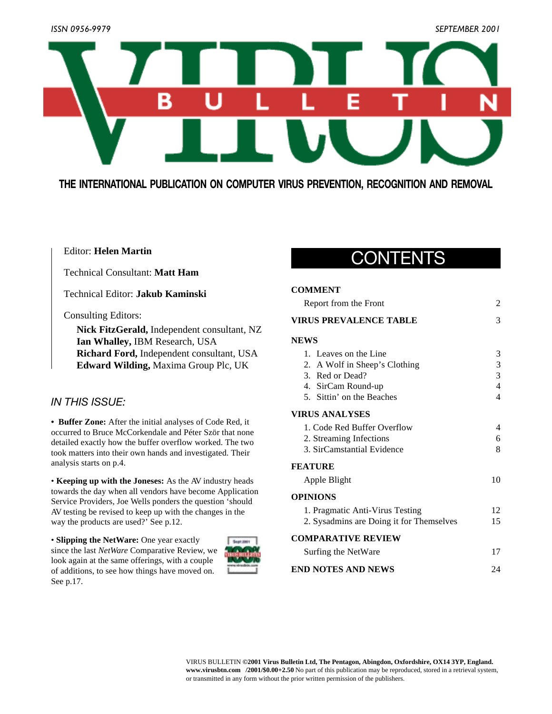

**THE INTERNATIONAL PUBLICATION ON COMPUTER VIRUS PREVENTION, RECOGNITION AND REMOVAL**

### Editor: **Helen Martin**

Technical Consultant: **Matt Ham**

Technical Editor: **Jakub Kaminski**

Consulting Editors:

**Nick FitzGerald,** Independent consultant, NZ **Ian Whalley,** IBM Research, USA **Richard Ford,** Independent consultant, USA **Edward Wilding,** Maxima Group Plc, UK

## *IN THIS ISSUE:*

**• Buffer Zone:** After the initial analyses of Code Red, it occurred to Bruce McCorkendale and Péter Ször that none detailed exactly how the buffer overflow worked. The two took matters into their own hands and investigated. Their analysis starts on p.4.

• **Keeping up with the Joneses:** As the AV industry heads towards the day when all vendors have become Application Service Providers, Joe Wells ponders the question 'should AV testing be revised to keep up with the changes in the way the products are used?' See p.12.

• **Slipping the NetWare:** One year exactly since the last *NetWare* Comparative Review, we look again at the same offerings, with a couple of additions, to see how things have moved on. See p.17.



# CONTENTS

### **COMMENT**

| Report from the Front                    | 2  |
|------------------------------------------|----|
| <b>VIRUS PREVALENCE TABLE</b>            | 3  |
| <b>NEWS</b>                              |    |
| 1. Leaves on the Line                    | 3  |
| 2. A Wolf in Sheep's Clothing            | 3  |
| 3. Red or Dead?                          | 3  |
| 4. SirCam Round-up                       | 4  |
| 5. Sittin' on the Beaches                | 4  |
| <b>VIRUS ANALYSES</b>                    |    |
| 1. Code Red Buffer Overflow              | 4  |
| 2. Streaming Infections                  | 6  |
| 3. SirCamstantial Evidence               | 8  |
| <b>FEATURE</b>                           |    |
| Apple Blight                             | 10 |
| <b>OPINIONS</b>                          |    |
| 1. Pragmatic Anti-Virus Testing          | 12 |
| 2. Sysadmins are Doing it for Themselves | 15 |
| <b>COMPARATIVE REVIEW</b>                |    |
| Surfing the NetWare                      | 17 |
| <b>END NOTES AND NEWS</b>                | 24 |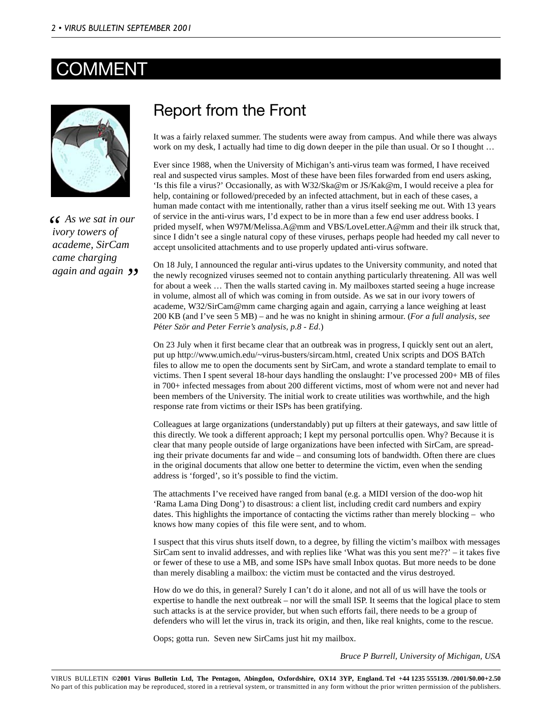# COMMENT



*As we sat in our ivory towers of academe, SirCam came charging again and again"*

# Report from the Front

It was a fairly relaxed summer. The students were away from campus. And while there was always work on my desk, I actually had time to dig down deeper in the pile than usual. Or so I thought ...

Ever since 1988, when the University of Michigan's anti-virus team was formed, I have received real and suspected virus samples. Most of these have been files forwarded from end users asking, 'Is this file a virus?' Occasionally, as with W32/Ska@m or JS/Kak@m, I would receive a plea for help, containing or followed/preceded by an infected attachment, but in each of these cases, a human made contact with me intentionally, rather than a virus itself seeking me out. With 13 years of service in the anti-virus wars, I'd expect to be in more than a few end user address books. I prided myself, when W97M/Melissa.A@mm and VBS/LoveLetter.A@mm and their ilk struck that, since I didn't see a single natural copy of these viruses, perhaps people had heeded my call never to accept unsolicited attachments and to use properly updated anti-virus software.

On 18 July, I announced the regular anti-virus updates to the University community, and noted that the newly recognized viruses seemed not to contain anything particularly threatening. All was well for about a week … Then the walls started caving in. My mailboxes started seeing a huge increase in volume, almost all of which was coming in from outside. As we sat in our ivory towers of academe, W32/SirCam@mm came charging again and again, carrying a lance weighing at least 200 KB (and I've seen 5 MB) – and he was no knight in shining armour. (*For a full analysis, see P*é*ter Ször and Peter Ferrie's analysis, p.8 - Ed*.)

On 23 July when it first became clear that an outbreak was in progress, I quickly sent out an alert, put up http://www.umich.edu/~virus-busters/sircam.html, created Unix scripts and DOS BATch files to allow me to open the documents sent by SirCam, and wrote a standard template to email to victims. Then I spent several 18-hour days handling the onslaught: I've processed 200+ MB of files in 700+ infected messages from about 200 different victims, most of whom were not and never had been members of the University. The initial work to create utilities was worthwhile, and the high response rate from victims or their ISPs has been gratifying.

Colleagues at large organizations (understandably) put up filters at their gateways, and saw little of this directly. We took a different approach; I kept my personal portcullis open. Why? Because it is clear that many people outside of large organizations have been infected with SirCam, are spreading their private documents far and wide – and consuming lots of bandwidth. Often there are clues in the original documents that allow one better to determine the victim, even when the sending address is 'forged', so it's possible to find the victim.

The attachments I've received have ranged from banal (e.g. a MIDI version of the doo-wop hit 'Rama Lama Ding Dong') to disastrous: a client list, including credit card numbers and expiry dates. This highlights the importance of contacting the victims rather than merely blocking – who knows how many copies of this file were sent, and to whom.

I suspect that this virus shuts itself down, to a degree, by filling the victim's mailbox with messages SirCam sent to invalid addresses, and with replies like 'What was this you sent me??' – it takes five or fewer of these to use a MB, and some ISPs have small Inbox quotas. But more needs to be done than merely disabling a mailbox: the victim must be contacted and the virus destroyed.

How do we do this, in general? Surely I can't do it alone, and not all of us will have the tools or expertise to handle the next outbreak – nor will the small ISP. It seems that the logical place to stem such attacks is at the service provider, but when such efforts fail, there needs to be a group of defenders who will let the virus in, track its origin, and then, like real knights, come to the rescue.

Oops; gotta run. Seven new SirCams just hit my mailbox.

*Bruce P Burrell, University of Michigan, USA*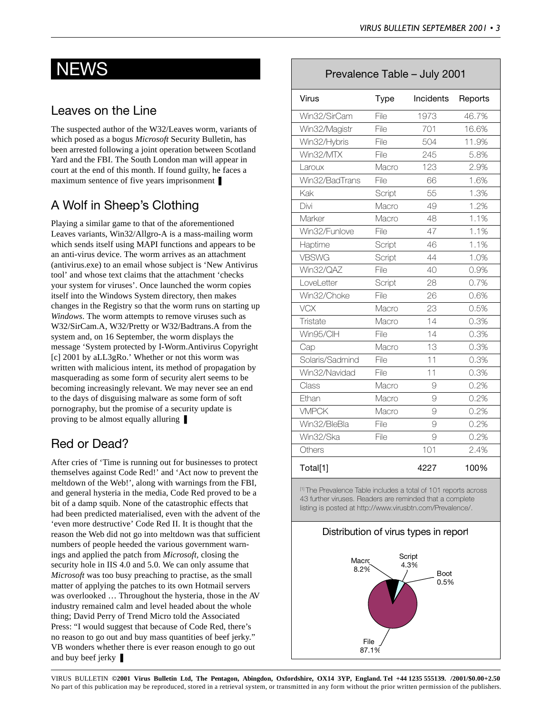# Leaves on the Line

The suspected author of the W32/Leaves worm, variants of which posed as a bogus *Microsoft* Security Bulletin, has been arrested following a joint operation between Scotland Yard and the FBI. The South London man will appear in court at the end of this month. If found guilty, he faces a maximum sentence of five years imprisonment ❚

# A Wolf in Sheep's Clothing

Playing a similar game to that of the aforementioned Leaves variants, Win32/Allgro-A is a mass-mailing worm which sends itself using MAPI functions and appears to be an anti-virus device. The worm arrives as an attachment (antivirus.exe) to an email whose subject is 'New Antivirus tool' and whose text claims that the attachment 'checks your system for viruses'. Once launched the worm copies itself into the Windows System directory, then makes changes in the Registry so that the worm runs on starting up *Windows*. The worm attempts to remove viruses such as W32/SirCam.A, W32/Pretty or W32/Badtrans.A from the system and, on 16 September, the worm displays the message 'System protected by I-Worm.Antivirus Copyright [c] 2001 by aLL3gRo.' Whether or not this worm was written with malicious intent, its method of propagation by masquerading as some form of security alert seems to be becoming increasingly relevant. We may never see an end to the days of disguising malware as some form of soft pornography, but the promise of a security update is proving to be almost equally alluring ❚

# Red or Dead?

After cries of 'Time is running out for businesses to protect themselves against Code Red!' and 'Act now to prevent the meltdown of the Web!', along with warnings from the FBI, and general hysteria in the media, Code Red proved to be a bit of a damp squib. None of the catastrophic effects that had been predicted materialised, even with the advent of the 'even more destructive' Code Red II. It is thought that the reason the Web did not go into meltdown was that sufficient numbers of people heeded the various government warnings and applied the patch from *Microsoft,* closing the security hole in IIS 4.0 and 5.0. We can only assume that *Microsoft* was too busy preaching to practise, as the small matter of applying the patches to its own Hotmail servers was overlooked … Throughout the hysteria, those in the AV industry remained calm and level headed about the whole thing; David Perry of Trend Micro told the Associated Press: "I would suggest that because of Code Red, there's no reason to go out and buy mass quantities of beef jerky." VB wonders whether there is ever reason enough to go out and buy beef jerky ❚

# NEWS Prevalence Table – July 2001

| Virus           | Type   | Incidents | Reports |
|-----------------|--------|-----------|---------|
| Win32/SirCam    | File   | 1973      | 46.7%   |
| Win32/Magistr   | File   | 701       | 16.6%   |
| Win32/Hybris    | File   | 504       | 11.9%   |
| Win32/MTX       | File   | 245       | 5.8%    |
| Laroux          | Macro  | 123       | 2.9%    |
| Win32/BadTrans  | File   | 66        | 1.6%    |
| Kak             | Script | 55        | 1.3%    |
| Divi            | Macro  | 49        | 1.2%    |
| Marker          | Macro  | 48        | 1.1%    |
| Win32/Funlove   | File   | 47        | 1.1%    |
| Haptime         | Script | 46        | 1.1%    |
| <b>VBSWG</b>    | Script | 44        | 1.0%    |
| Win32/QAZ       | File   | 40        | 0.9%    |
| LoveLetter      | Script | 28        | 0.7%    |
| Win32/Choke     | File   | 26        | 0.6%    |
| <b>VCX</b>      | Macro  | 23        | 0.5%    |
| Tristate        | Macro  | 14        | 0.3%    |
| Win95/ClH       | File   | 14        | 0.3%    |
| Cap             | Macro  | 13        | 0.3%    |
| Solaris/Sadmind | File   | 11        | 0.3%    |
| Win32/Navidad   | File   | 11        | 0.3%    |
| Class           | Macro  | 9         | 0.2%    |
| Ethan           | Macro  | 9         | 0.2%    |
| <b>VMPCK</b>    | Macro  | 9         | 0.2%    |
| Win32/BleBla    | File   | 9         | 0.2%    |
| Win32/Ska       | File   | 9         | 0.2%    |
| Others          |        | 101       | 2.4%    |
| Total[1]        |        | 4227      | 100%    |

[1] The Prevalence Table includes a total of 101 reports across 43 further viruses. Readers are reminded that a complete listing is posted at http://www.virusbtn.com/Prevalence/.

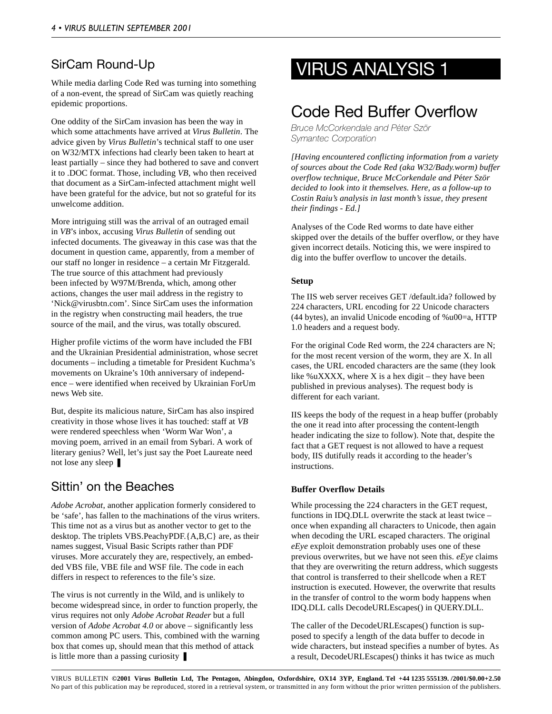While media darling Code Red was turning into something of a non-event, the spread of SirCam was quietly reaching epidemic proportions.

One oddity of the SirCam invasion has been the way in which some attachments have arrived at *Virus Bulletin*. The advice given by *Virus Bulletin*'s technical staff to one user on W32/MTX infections had clearly been taken to heart at least partially – since they had bothered to save and convert it to .DOC format. Those, including *VB*, who then received that document as a SirCam-infected attachment might well have been grateful for the advice, but not so grateful for its unwelcome addition.

More intriguing still was the arrival of an outraged email in *VB*'s inbox, accusing *Virus Bulletin* of sending out infected documents. The giveaway in this case was that the document in question came, apparently, from a member of our staff no longer in residence – a certain Mr Fitzgerald. The true source of this attachment had previously been infected by W97M/Brenda, which, among other actions, changes the user mail address in the registry to 'Nick@virusbtn.com'. Since SirCam uses the information in the registry when constructing mail headers, the true source of the mail, and the virus, was totally obscured.

Higher profile victims of the worm have included the FBI and the Ukrainian Presidential administration, whose secret documents – including a timetable for President Kuchma's movements on Ukraine's 10th anniversary of independence – were identified when received by Ukrainian ForUm news Web site.

But, despite its malicious nature, SirCam has also inspired creativity in those whose lives it has touched: staff at *VB* were rendered speechless when 'Worm War Won', a moving poem, arrived in an email from Sybari. A work of literary genius? Well, let's just say the Poet Laureate need not lose any sleep ❚

# Sittin' on the Beaches

*Adobe Acrobat*, another application formerly considered to be 'safe', has fallen to the machinations of the virus writers. This time not as a virus but as another vector to get to the desktop. The triplets VBS.PeachyPDF.{A,B,C} are, as their names suggest, Visual Basic Scripts rather than PDF viruses. More accurately they are, respectively, an embedded VBS file, VBE file and WSF file. The code in each differs in respect to references to the file's size.

The virus is not currently in the Wild, and is unlikely to become widespread since, in order to function properly, the virus requires not only *Adobe Acrobat Reader* but a full version of *Adobe Acrobat 4.0* or above – significantly less common among PC users. This, combined with the warning box that comes up, should mean that this method of attack is little more than a passing curiosity  $\blacksquare$ 

# SirCam Round-Up VIRUS ANALYSIS 1

# Code Red Buffer Overflow

*Bruce McCorkendale and Péter Ször Symantec Corporation*

*[Having encountered conflicting information from a variety of sources about the Code Red (aka W32/Bady.worm) buffer overflow technique, Bruce McCorkendale and P*é*ter Ször decided to look into it themselves. Here, as a follow-up to Costin Raiu's analysis in last month's issue, they present their findings - Ed.]*

Analyses of the Code Red worms to date have either skipped over the details of the buffer overflow, or they have given incorrect details. Noticing this, we were inspired to dig into the buffer overflow to uncover the details.

### **Setup**

The IIS web server receives GET /default.ida? followed by 224 characters, URL encoding for 22 Unicode characters (44 bytes), an invalid Unicode encoding of %u00=a, HTTP 1.0 headers and a request body.

For the original Code Red worm, the 224 characters are N; for the most recent version of the worm, they are X. In all cases, the URL encoded characters are the same (they look like %uXXXX, where  $X$  is a hex digit – they have been published in previous analyses). The request body is different for each variant.

IIS keeps the body of the request in a heap buffer (probably the one it read into after processing the content-length header indicating the size to follow). Note that, despite the fact that a GET request is not allowed to have a request body, IIS dutifully reads it according to the header's instructions.

### **Buffer Overflow Details**

While processing the 224 characters in the GET request, functions in IDQ.DLL overwrite the stack at least twice – once when expanding all characters to Unicode, then again when decoding the URL escaped characters. The original *eEye* exploit demonstration probably uses one of these previous overwrites, but we have not seen this. *eEye* claims that they are overwriting the return address, which suggests that control is transferred to their shellcode when a RET instruction is executed. However, the overwrite that results in the transfer of control to the worm body happens when IDQ.DLL calls DecodeURLEscapes() in QUERY.DLL.

The caller of the DecodeURLEscapes() function is supposed to specify a length of the data buffer to decode in wide characters, but instead specifies a number of bytes. As a result, DecodeURLEscapes() thinks it has twice as much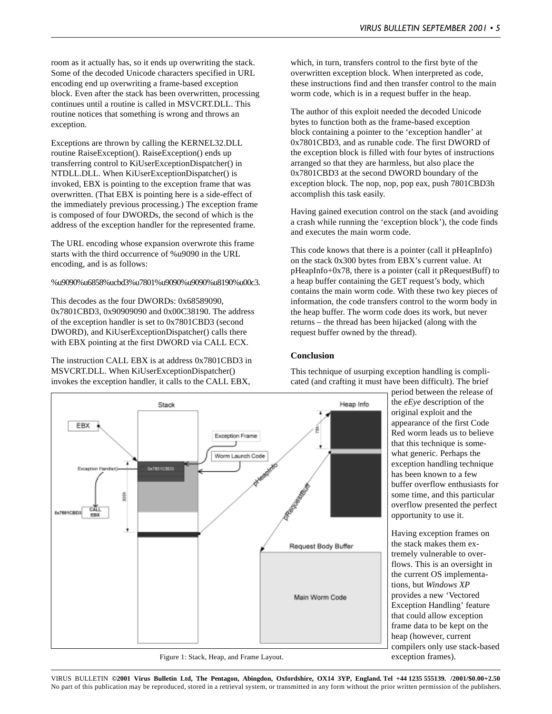room as it actually has, so it ends up overwriting the stack. Some of the decoded Unicode characters specified in URL encoding end up overwriting a frame-based exception block. Even after the stack has been overwritten, processing continues until a routine is called in MSVCRT.DLL. This routine notices that something is wrong and throws an exception.

Exceptions are thrown by calling the KERNEL32.DLL routine RaiseException(). RaiseException() ends up transferring control to KiUserExceptionDispatcher() in NTDLL.DLL. When KiUserExceptionDispatcher() is invoked, EBX is pointing to the exception frame that was overwritten. (That EBX is pointing here is a side-effect of the immediately previous processing.) The exception frame is composed of four DWORDs, the second of which is the address of the exception handler for the represented frame.

The URL encoding whose expansion overwrote this frame starts with the third occurrence of %u9090 in the URL encoding, and is as follows:

#### %u9090%u6858%ucbd3%u7801%u9090%u9090%u8190%u00c3.

This decodes as the four DWORDs: 0x68589090, 0x7801CBD3, 0x90909090 and 0x00C38190. The address of the exception handler is set to 0x7801CBD3 (second DWORD), and KiUserExceptionDispatcher() calls there with EBX pointing at the first DWORD via CALL ECX.

The instruction CALL EBX is at address 0x7801CBD3 in MSVCRT.DLL. When KiUserExceptionDispatcher() invokes the exception handler, it calls to the CALL EBX,

which, in turn, transfers control to the first byte of the overwritten exception block. When interpreted as code, these instructions find and then transfer control to the main worm code, which is in a request buffer in the heap.

The author of this exploit needed the decoded Unicode bytes to function both as the frame-based exception block containing a pointer to the 'exception handler' at 0x7801CBD3, and as runable code. The first DWORD of the exception block is filled with four bytes of instructions arranged so that they are harmless, but also place the 0x7801CBD3 at the second DWORD boundary of the exception block. The nop, nop, pop eax, push 7801CBD3h accomplish this task easily.

Having gained execution control on the stack (and avoiding a crash while running the 'exception block'), the code finds and executes the main worm code.

This code knows that there is a pointer (call it pHeapInfo) on the stack 0x300 bytes from EBX's current value. At pHeapInfo+0x78, there is a pointer (call it pRequestBuff) to a heap buffer containing the GET request's body, which contains the main worm code. With these two key pieces of information, the code transfers control to the worm body in the heap buffer. The worm code does its work, but never returns – the thread has been hijacked (along with the request buffer owned by the thread).

#### **Conclusion**

This technique of usurping exception handling is complicated (and crafting it must have been difficult). The brief

> period between the release of the *eEye* description of the original exploit and the appearance of the first Code Red worm leads us to believe that this technique is somewhat generic. Perhaps the exception handling technique has been known to a few buffer overflow enthusiasts for some time, and this particular overflow presented the perfect opportunity to use it.

Having exception frames on the stack makes them extremely vulnerable to overflows. This is an oversight in the current OS implementations, but *Windows XP* provides a new 'Vectored Exception Handling' feature that could allow exception frame data to be kept on the heap (however, current compilers only use stack-based exception frames).



Figure 1: Stack, Heap, and Frame Layout.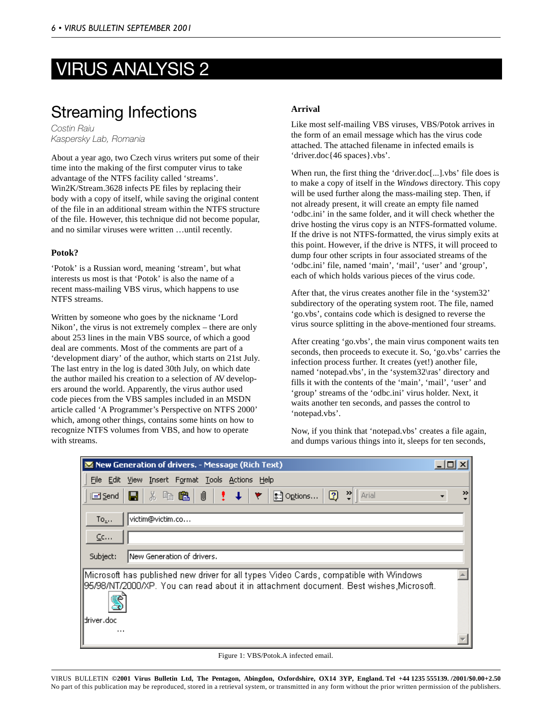# VIRUS ANALYSIS 2

# Streaming Infections

*Costin Raiu Kaspersky Lab, Romania*

About a year ago, two Czech virus writers put some of their time into the making of the first computer virus to take advantage of the NTFS facility called 'streams'. Win2K/Stream.3628 infects PE files by replacing their body with a copy of itself, while saving the original content of the file in an additional stream within the NTFS structure of the file. However, this technique did not become popular, and no similar viruses were written …until recently.

### **Potok?**

'Potok' is a Russian word, meaning 'stream', but what interests us most is that 'Potok' is also the name of a recent mass-mailing VBS virus, which happens to use NTFS streams.

Written by someone who goes by the nickname 'Lord Nikon', the virus is not extremely complex – there are only about 253 lines in the main VBS source, of which a good deal are comments. Most of the comments are part of a 'development diary' of the author, which starts on 21st July. The last entry in the log is dated 30th July, on which date the author mailed his creation to a selection of AV developers around the world. Apparently, the virus author used code pieces from the VBS samples included in an MSDN article called 'A Programmer's Perspective on NTFS 2000' which, among other things, contains some hints on how to recognize NTFS volumes from VBS, and how to operate with streams.

### **Arrival**

Like most self-mailing VBS viruses, VBS/Potok arrives in the form of an email message which has the virus code attached. The attached filename in infected emails is 'driver.doc{46 spaces}.vbs'.

When run, the first thing the 'driver.doc[...].vbs' file does is to make a copy of itself in the *Windows* directory. This copy will be used further along the mass-mailing step. Then, if not already present, it will create an empty file named 'odbc.ini' in the same folder, and it will check whether the drive hosting the virus copy is an NTFS-formatted volume. If the drive is not NTFS-formatted, the virus simply exits at this point. However, if the drive is NTFS, it will proceed to dump four other scripts in four associated streams of the 'odbc.ini' file, named 'main', 'mail', 'user' and 'group', each of which holds various pieces of the virus code.

After that, the virus creates another file in the 'system32' subdirectory of the operating system root. The file, named 'go.vbs', contains code which is designed to reverse the virus source splitting in the above-mentioned four streams.

After creating 'go.vbs', the main virus component waits ten seconds, then proceeds to execute it. So, 'go.vbs' carries the infection process further. It creates (yet!) another file, named 'notepad.vbs', in the 'system32\ras' directory and fills it with the contents of the 'main', 'mail', 'user' and 'group' streams of the 'odbc.ini' virus holder. Next, it waits another ten seconds, and passes the control to 'notepad.vbs'.

Now, if you think that 'notepad.vbs' creates a file again, and dumps various things into it, sleeps for ten seconds,

| New Generation of drivers. - Message (Rich Text)                                                                                                                                                                                  |   |
|-----------------------------------------------------------------------------------------------------------------------------------------------------------------------------------------------------------------------------------|---|
| File Edit View Insert Format Tools Actions Help                                                                                                                                                                                   |   |
| $\begin{array}{c} \begin{array}{c} \end{array} \end{array}$<br>$\downarrow$<br>$\boxed{2}$<br>Arial<br>※ 4 色 1<br><b>COLLEGE</b><br>$\left[\begin{array}{c} \circ \circ \\ \circ \circ \end{array}\right]$ Options<br>П<br>i⊡Send | ≫ |
| victim@victim.co<br>$To_{\omega}$ .                                                                                                                                                                                               |   |
| $C$ c                                                                                                                                                                                                                             |   |
| New Generation of drivers.<br>Subject:                                                                                                                                                                                            |   |
| Microsoft has published new driver for all types Video Cards, compatible with Windows<br>95/98/NT/2000/XP. You can read about it in attachment document. Best wishes,Microsoft.                                                   |   |
| driver.doc<br>$\cdots$                                                                                                                                                                                                            |   |

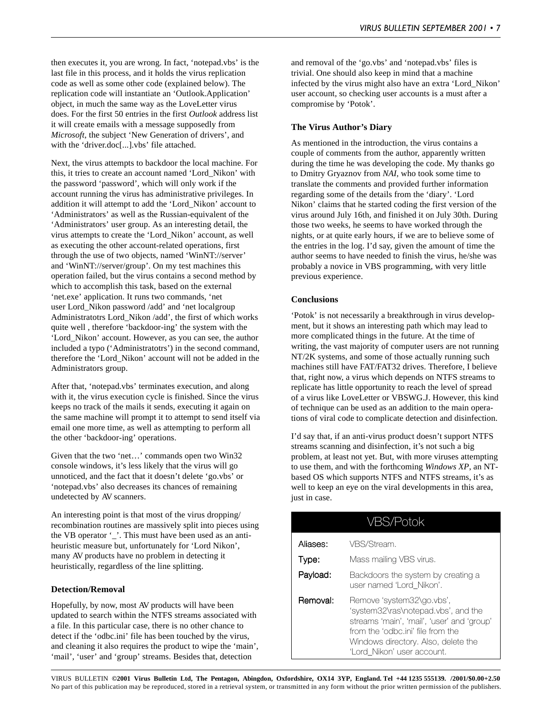then executes it, you are wrong. In fact, 'notepad.vbs' is the last file in this process, and it holds the virus replication code as well as some other code (explained below). The replication code will instantiate an 'Outlook.Application' object, in much the same way as the LoveLetter virus does. For the first 50 entries in the first *Outlook* address list it will create emails with a message supposedly from *Microsoft*, the subject 'New Generation of drivers', and with the 'driver.doc[...].vbs' file attached.

Next, the virus attempts to backdoor the local machine. For this, it tries to create an account named 'Lord\_Nikon' with the password 'password', which will only work if the account running the virus has administrative privileges. In addition it will attempt to add the 'Lord\_Nikon' account to 'Administrators' as well as the Russian-equivalent of the 'Administrators' user group. As an interesting detail, the virus attempts to create the 'Lord\_Nikon' account, as well as executing the other account-related operations, first through the use of two objects, named 'WinNT://server' and 'WinNT://server/group'. On my test machines this operation failed, but the virus contains a second method by which to accomplish this task, based on the external 'net.exe' application. It runs two commands, 'net user Lord\_Nikon password /add' and 'net localgroup Administratotrs Lord\_Nikon /add', the first of which works quite well , therefore 'backdoor-ing' the system with the 'Lord\_Nikon' account. However, as you can see, the author included a typo ('Administratotrs') in the second command, therefore the 'Lord\_Nikon' account will not be added in the Administrators group.

After that, 'notepad.vbs' terminates execution, and along with it, the virus execution cycle is finished. Since the virus keeps no track of the mails it sends, executing it again on the same machine will prompt it to attempt to send itself via email one more time, as well as attempting to perform all the other 'backdoor-ing' operations.

Given that the two 'net…' commands open two Win32 console windows, it's less likely that the virus will go unnoticed, and the fact that it doesn't delete 'go.vbs' or 'notepad.vbs' also decreases its chances of remaining undetected by AV scanners.

An interesting point is that most of the virus dropping/ recombination routines are massively split into pieces using the VB operator '\_'. This must have been used as an antiheuristic measure but, unfortunately for 'Lord Nikon', many AV products have no problem in detecting it heuristically, regardless of the line splitting.

#### **Detection/Removal**

Hopefully, by now, most AV products will have been updated to search within the NTFS streams associated with a file. In this particular case, there is no other chance to detect if the 'odbc.ini' file has been touched by the virus, and cleaning it also requires the product to wipe the 'main', 'mail', 'user' and 'group' streams. Besides that, detection

and removal of the 'go.vbs' and 'notepad.vbs' files is trivial. One should also keep in mind that a machine infected by the virus might also have an extra 'Lord\_Nikon' user account, so checking user accounts is a must after a compromise by 'Potok'.

#### **The Virus Author's Diary**

As mentioned in the introduction, the virus contains a couple of comments from the author, apparently written during the time he was developing the code. My thanks go to Dmitry Gryaznov from *NAI*, who took some time to translate the comments and provided further information regarding some of the details from the 'diary'. 'Lord Nikon' claims that he started coding the first version of the virus around July 16th, and finished it on July 30th. During those two weeks, he seems to have worked through the nights, or at quite early hours, if we are to believe some of the entries in the log. I'd say, given the amount of time the author seems to have needed to finish the virus, he/she was probably a novice in VBS programming, with very little previous experience.

#### **Conclusions**

'Potok' is not necessarily a breakthrough in virus development, but it shows an interesting path which may lead to more complicated things in the future. At the time of writing, the vast majority of computer users are not running NT/2K systems, and some of those actually running such machines still have FAT/FAT32 drives. Therefore, I believe that, right now, a virus which depends on NTFS streams to replicate has little opportunity to reach the level of spread of a virus like LoveLetter or VBSWG.J. However, this kind of technique can be used as an addition to the main operations of viral code to complicate detection and disinfection.

I'd say that, if an anti-virus product doesn't support NTFS streams scanning and disinfection, it's not such a big problem, at least not yet. But, with more viruses attempting to use them, and with the forthcoming *Windows XP*, an NTbased OS which supports NTFS and NTFS streams, it's as well to keep an eye on the viral developments in this area, just in case.

| VBS/Potok |                                                                                                                                                                                                                          |  |  |  |  |  |
|-----------|--------------------------------------------------------------------------------------------------------------------------------------------------------------------------------------------------------------------------|--|--|--|--|--|
| Aliases:  | VBS/Stream.                                                                                                                                                                                                              |  |  |  |  |  |
| Type:     | Mass mailing VBS virus.                                                                                                                                                                                                  |  |  |  |  |  |
| Payload:  | Backdoors the system by creating a<br>user named 'Lord Nikon'.                                                                                                                                                           |  |  |  |  |  |
| Removal:  | Remove 'system32\go.vbs',<br>'system32\ras\notepad.vbs', and the<br>streams 'main', 'mail', 'user' and 'group'<br>from the 'odbc.ini' file from the<br>Windows directory. Also, delete the<br>'Lord Nikon' user account. |  |  |  |  |  |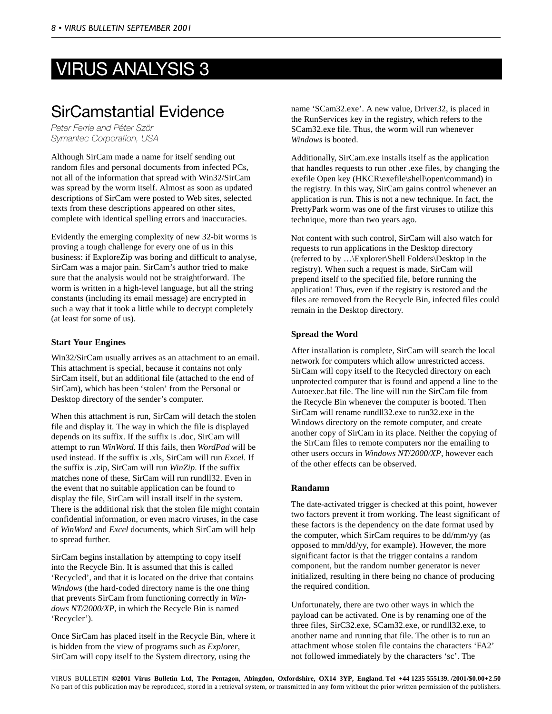# VIRUS ANALYSIS 3

# SirCamstantial Evidence

*Peter Ferrie and Péter Ször Symantec Corporation, USA*

Although SirCam made a name for itself sending out random files and personal documents from infected PCs, not all of the information that spread with Win32/SirCam was spread by the worm itself. Almost as soon as updated descriptions of SirCam were posted to Web sites, selected texts from these descriptions appeared on other sites, complete with identical spelling errors and inaccuracies.

Evidently the emerging complexity of new 32-bit worms is proving a tough challenge for every one of us in this business: if ExploreZip was boring and difficult to analyse, SirCam was a major pain. SirCam's author tried to make sure that the analysis would not be straightforward. The worm is written in a high-level language, but all the string constants (including its email message) are encrypted in such a way that it took a little while to decrypt completely (at least for some of us).

### **Start Your Engines**

Win32/SirCam usually arrives as an attachment to an email. This attachment is special, because it contains not only SirCam itself, but an additional file (attached to the end of SirCam), which has been 'stolen' from the Personal or Desktop directory of the sender's computer.

When this attachment is run, SirCam will detach the stolen file and display it. The way in which the file is displayed depends on its suffix. If the suffix is .doc, SirCam will attempt to run *WinWord*. If this fails, then *WordPad* will be used instead. If the suffix is .xls, SirCam will run *Excel*. If the suffix is .zip, SirCam will run *WinZip*. If the suffix matches none of these, SirCam will run rundll32. Even in the event that no suitable application can be found to display the file, SirCam will install itself in the system. There is the additional risk that the stolen file might contain confidential information, or even macro viruses, in the case of *WinWord* and *Excel* documents, which SirCam will help to spread further.

SirCam begins installation by attempting to copy itself into the Recycle Bin. It is assumed that this is called 'Recycled', and that it is located on the drive that contains *Windows* (the hard-coded directory name is the one thing that prevents SirCam from functioning correctly in *Windows NT/2000/XP*, in which the Recycle Bin is named 'Recycler').

Once SirCam has placed itself in the Recycle Bin, where it is hidden from the view of programs such as *Explorer*, SirCam will copy itself to the System directory, using the

name 'SCam32.exe'. A new value, Driver32, is placed in the RunServices key in the registry, which refers to the SCam32.exe file. Thus, the worm will run whenever *Windows* is booted.

Additionally, SirCam.exe installs itself as the application that handles requests to run other .exe files, by changing the exefile Open key (HKCR\exefile\shell\open\command) in the registry. In this way, SirCam gains control whenever an application is run. This is not a new technique. In fact, the PrettyPark worm was one of the first viruses to utilize this technique, more than two years ago.

Not content with such control, SirCam will also watch for requests to run applications in the Desktop directory (referred to by …\Explorer\Shell Folders\Desktop in the registry). When such a request is made, SirCam will prepend itself to the specified file, before running the application! Thus, even if the registry is restored and the files are removed from the Recycle Bin, infected files could remain in the Desktop directory.

### **Spread the Word**

After installation is complete, SirCam will search the local network for computers which allow unrestricted access. SirCam will copy itself to the Recycled directory on each unprotected computer that is found and append a line to the Autoexec.bat file. The line will run the SirCam file from the Recycle Bin whenever the computer is booted. Then SirCam will rename rundll32.exe to run32.exe in the Windows directory on the remote computer, and create another copy of SirCam in its place. Neither the copying of the SirCam files to remote computers nor the emailing to other users occurs in *Windows NT*/*2000/XP*, however each of the other effects can be observed.

### **Randamn**

The date-activated trigger is checked at this point, however two factors prevent it from working. The least significant of these factors is the dependency on the date format used by the computer, which SirCam requires to be dd/mm/yy (as opposed to mm/dd/yy, for example). However, the more significant factor is that the trigger contains a random component, but the random number generator is never initialized, resulting in there being no chance of producing the required condition.

Unfortunately, there are two other ways in which the payload can be activated. One is by renaming one of the three files, SirC32.exe, SCam32.exe, or rundll32.exe, to another name and running that file. The other is to run an attachment whose stolen file contains the characters 'FA2' not followed immediately by the characters 'sc'. The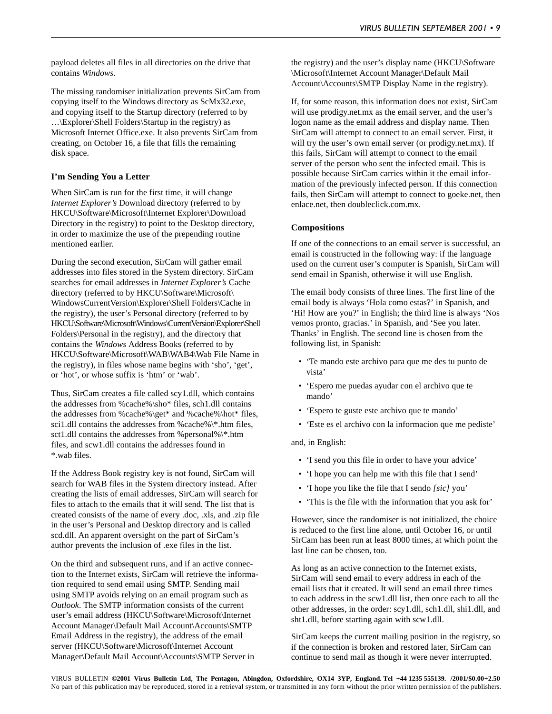payload deletes all files in all directories on the drive that contains *Windows*.

The missing randomiser initialization prevents SirCam from copying itself to the Windows directory as ScMx32.exe, and copying itself to the Startup directory (referred to by …\Explorer\Shell Folders\Startup in the registry) as Microsoft Internet Office.exe. It also prevents SirCam from creating, on October 16, a file that fills the remaining disk space.

#### **I'm Sending You a Letter**

When SirCam is run for the first time, it will change *Internet Explorer's* Download directory (referred to by HKCU\Software\Microsoft\Internet Explorer\Download Directory in the registry) to point to the Desktop directory, in order to maximize the use of the prepending routine mentioned earlier.

During the second execution, SirCam will gather email addresses into files stored in the System directory. SirCam searches for email addresses in *Internet Explorer's* Cache directory (referred to by HKCU\Software\Microsoft\ WindowsCurrentVersion\Explorer\Shell Folders\Cache in the registry), the user's Personal directory (referred to by HKCU\Software\Microsoft\Windows\CurrentVersion\Explorer\Shell Folders\Personal in the registry), and the directory that contains the *Windows* Address Books (referred to by HKCU\Software\Microsoft\WAB\WAB4\Wab File Name in the registry), in files whose name begins with 'sho', 'get', or 'hot', or whose suffix is 'htm' or 'wab'.

Thus, SirCam creates a file called scy1.dll, which contains the addresses from %cache%\sho\* files, sch1.dll contains the addresses from %cache%\get\* and %cache%\hot\* files, sci1.dll contains the addresses from %cache%\\*.htm files, sct1.dll contains the addresses from %personal%\\*.htm files, and scw1.dll contains the addresses found in \*.wab files.

If the Address Book registry key is not found, SirCam will search for WAB files in the System directory instead. After creating the lists of email addresses, SirCam will search for files to attach to the emails that it will send. The list that is created consists of the name of every .doc, .xls, and .zip file in the user's Personal and Desktop directory and is called scd.dll. An apparent oversight on the part of SirCam's author prevents the inclusion of .exe files in the list.

On the third and subsequent runs, and if an active connection to the Internet exists, SirCam will retrieve the information required to send email using SMTP. Sending mail using SMTP avoids relying on an email program such as *Outlook*. The SMTP information consists of the current user's email address (HKCU\Software\Microsoft\Internet Account Manager\Default Mail Account\Accounts\SMTP Email Address in the registry), the address of the email server (HKCU\Software\Microsoft\Internet Account Manager\Default Mail Account\Accounts\SMTP Server in

the registry) and the user's display name (HKCU\Software \Microsoft\Internet Account Manager\Default Mail Account\Accounts\SMTP Display Name in the registry).

If, for some reason, this information does not exist, SirCam will use prodigy.net.mx as the email server, and the user's logon name as the email address and display name. Then SirCam will attempt to connect to an email server. First, it will try the user's own email server (or prodigy.net.mx). If this fails, SirCam will attempt to connect to the email server of the person who sent the infected email. This is possible because SirCam carries within it the email information of the previously infected person. If this connection fails, then SirCam will attempt to connect to goeke.net, then enlace.net, then doubleclick.com.mx.

#### **Compositions**

If one of the connections to an email server is successful, an email is constructed in the following way: if the language used on the current user's computer is Spanish, SirCam will send email in Spanish, otherwise it will use English.

The email body consists of three lines. The first line of the email body is always 'Hola como estas?' in Spanish, and 'Hi! How are you?' in English; the third line is always 'Nos vemos pronto, gracias.' in Spanish, and 'See you later. Thanks' in English. The second line is chosen from the following list, in Spanish:

- 'Te mando este archivo para que me des tu punto de vista'
- 'Espero me puedas ayudar con el archivo que te mando'
- 'Espero te guste este archivo que te mando'
- 'Este es el archivo con la informacion que me pediste'

and, in English:

- 'I send you this file in order to have your advice'
- 'I hope you can help me with this file that I send'
- 'I hope you like the file that I sendo *[sic]* you'
- 'This is the file with the information that you ask for'

However, since the randomiser is not initialized, the choice is reduced to the first line alone, until October 16, or until SirCam has been run at least 8000 times, at which point the last line can be chosen, too.

As long as an active connection to the Internet exists, SirCam will send email to every address in each of the email lists that it created. It will send an email three times to each address in the scw1.dll list, then once each to all the other addresses, in the order: scy1.dll, sch1.dll, shi1.dll, and sht1.dll, before starting again with scw1.dll.

SirCam keeps the current mailing position in the registry, so if the connection is broken and restored later, SirCam can continue to send mail as though it were never interrupted.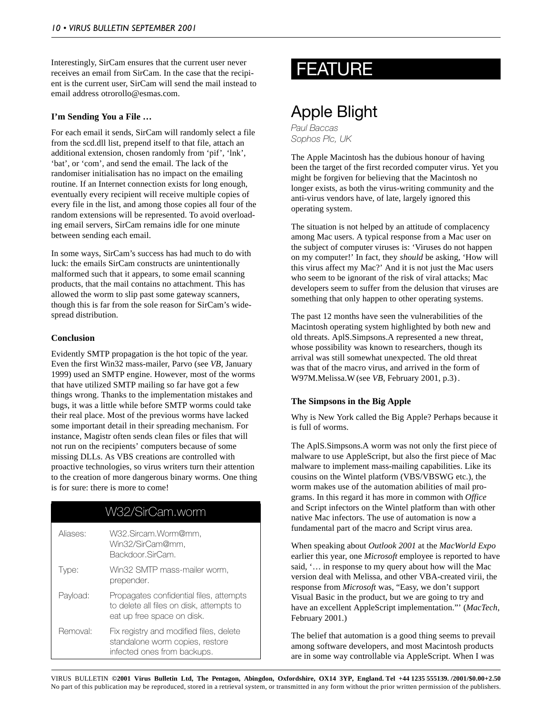Interestingly, SirCam ensures that the current user never receives an email from SirCam. In the case that the recipient is the current user, SirCam will send the mail instead to email address otrorollo@esmas.com.

### **I'm Sending You a File …**

For each email it sends, SirCam will randomly select a file from the scd.dll list, prepend itself to that file, attach an additional extension, chosen randomly from 'pif', 'lnk', 'bat', or 'com', and send the email. The lack of the randomiser initialisation has no impact on the emailing routine. If an Internet connection exists for long enough, eventually every recipient will receive multiple copies of every file in the list, and among those copies all four of the random extensions will be represented. To avoid overloading email servers, SirCam remains idle for one minute between sending each email.

In some ways, SirCam's success has had much to do with luck: the emails SirCam constructs are unintentionally malformed such that it appears, to some email scanning products, that the mail contains no attachment. This has allowed the worm to slip past some gateway scanners, though this is far from the sole reason for SirCam's widespread distribution.

#### **Conclusion**

Evidently SMTP propagation is the hot topic of the year. Even the first Win32 mass-mailer, Parvo (see *VB*, January 1999) used an SMTP engine. However, most of the worms that have utilized SMTP mailing so far have got a few things wrong. Thanks to the implementation mistakes and bugs, it was a little while before SMTP worms could take their real place. Most of the previous worms have lacked some important detail in their spreading mechanism. For instance, Magistr often sends clean files or files that will not run on the recipients' computers because of some missing DLLs. As VBS creations are controlled with proactive technologies, so virus writers turn their attention to the creation of more dangerous binary worms. One thing is for sure: there is more to come!

### W32/SirCam.worm

| Aliases: | W32.Sircam.Worm@mm,<br>Win32/SirCam@mm.<br>Backdoor.SirCam.                                                       |
|----------|-------------------------------------------------------------------------------------------------------------------|
| l vpe:   | Win32 SMTP mass-mailer worm.<br>prepender.                                                                        |
| Payload: | Propagates confidential files, attempts<br>to delete all files on disk, attempts to<br>eat up free space on disk. |
| Removal: | Fix registry and modified files, delete<br>standalone worm copies, restore<br>infected ones from backups.         |

# FEATURE

# Apple Blight

*Paul Baccas Sophos Plc, UK*

The Apple Macintosh has the dubious honour of having been the target of the first recorded computer virus. Yet you might be forgiven for believing that the Macintosh no longer exists, as both the virus-writing community and the anti-virus vendors have, of late, largely ignored this operating system.

The situation is not helped by an attitude of complacency among Mac users. A typical response from a Mac user on the subject of computer viruses is: 'Viruses do not happen on my computer!' In fact, they *should* be asking, 'How will this virus affect my Mac?' And it is not just the Mac users who seem to be ignorant of the risk of viral attacks; Mac developers seem to suffer from the delusion that viruses are something that only happen to other operating systems.

The past 12 months have seen the vulnerabilities of the Macintosh operating system highlighted by both new and old threats. AplS.Simpsons.A represented a new threat, whose possibility was known to researchers, though its arrival was still somewhat unexpected. The old threat was that of the macro virus, and arrived in the form of W97M.Melissa.W(see *VB*, February 2001, p.3) .

### **The Simpsons in the Big Apple**

Why is New York called the Big Apple? Perhaps because it is full of worms.

The AplS.Simpsons.A worm was not only the first piece of malware to use AppleScript, but also the first piece of Mac malware to implement mass-mailing capabilities. Like its cousins on the Wintel platform (VBS/VBSWG etc.), the worm makes use of the automation abilities of mail programs. In this regard it has more in common with *Office* and Script infectors on the Wintel platform than with other native Mac infectors. The use of automation is now a fundamental part of the macro and Script virus area.

When speaking about *Outlook 2001* at the *MacWorld Expo* earlier this year, one *Microsoft* employee is reported to have said, '… in response to my query about how will the Mac version deal with Melissa, and other VBA-created virii, the response from *Microsoft* was, "Easy, we don't support Visual Basic in the product, but we are going to try and have an excellent AppleScript implementation."' (*MacTech*, February 2001.)

The belief that automation is a good thing seems to prevail among software developers, and most Macintosh products are in some way controllable via AppleScript. When I was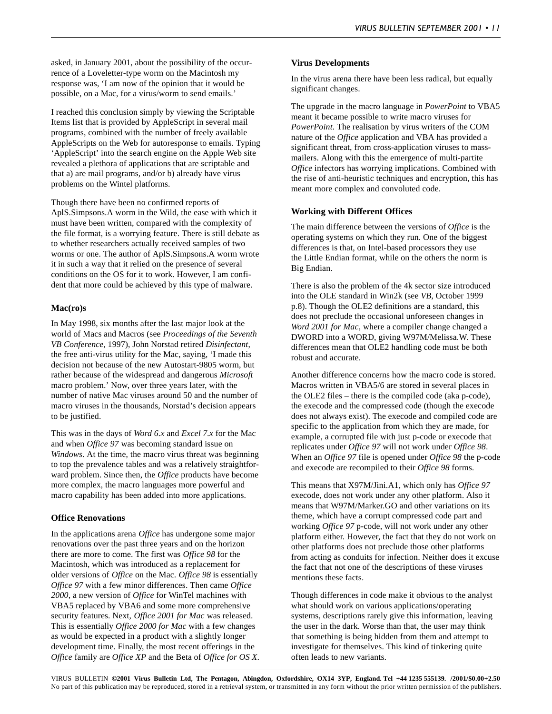asked, in January 2001, about the possibility of the occurrence of a Loveletter-type worm on the Macintosh my response was, 'I am now of the opinion that it would be possible, on a Mac, for a virus/worm to send emails.'

I reached this conclusion simply by viewing the Scriptable Items list that is provided by AppleScript in several mail programs, combined with the number of freely available AppleScripts on the Web for autoresponse to emails. Typing 'AppleScript' into the search engine on the Apple Web site revealed a plethora of applications that are scriptable and that a) are mail programs, and/or b) already have virus problems on the Wintel platforms.

Though there have been no confirmed reports of AplS.Simpsons.A worm in the Wild, the ease with which it must have been written, compared with the complexity of the file format, is a worrying feature. There is still debate as to whether researchers actually received samples of two worms or one. The author of AplS.Simpsons.A worm wrote it in such a way that it relied on the presence of several conditions on the OS for it to work. However, I am confident that more could be achieved by this type of malware.

### **Mac(ro)s**

In May 1998, six months after the last major look at the world of Macs and Macros (see *Proceedings of the Seventh VB Conference*, 1997), John Norstad retired *Disinfectant*, the free anti-virus utility for the Mac, saying, 'I made this decision not because of the new Autostart-9805 worm, but rather because of the widespread and dangerous *Microsoft* macro problem.' Now, over three years later, with the number of native Mac viruses around 50 and the number of macro viruses in the thousands, Norstad's decision appears to be justified.

This was in the days of *Word 6.x* and *Excel 7.x* for the Mac and when *Office 97* was becoming standard issue on *Windows*. At the time, the macro virus threat was beginning to top the prevalence tables and was a relatively straightforward problem. Since then, the *Office* products have become more complex, the macro languages more powerful and macro capability has been added into more applications.

### **Office Renovations**

In the applications arena *Office* has undergone some major renovations over the past three years and on the horizon there are more to come. The first was *Office 98* for the Macintosh, which was introduced as a replacement for older versions of *Office* on the Mac. *Office 98* is essentially *Office 97* with a few minor differences. Then came *Office 2000*, a new version of *Office* for WinTel machines with VBA5 replaced by VBA6 and some more comprehensive security features. Next, *Office 2001 for Mac* was released. This is essentially *Office 2000 for Mac* with a few changes as would be expected in a product with a slightly longer development time. Finally, the most recent offerings in the *Office* family are *Office XP* and the Beta of *Office for OS X*.

#### **Virus Developments**

In the virus arena there have been less radical, but equally significant changes.

The upgrade in the macro language in *PowerPoint* to VBA5 meant it became possible to write macro viruses for *PowerPoint*. The realisation by virus writers of the COM nature of the *Office* application and VBA has provided a significant threat, from cross-application viruses to massmailers. Along with this the emergence of multi-partite *Office* infectors has worrying implications. Combined with the rise of anti-heuristic techniques and encryption, this has meant more complex and convoluted code.

#### **Working with Different Offices**

The main difference between the versions of *Office* is the operating systems on which they run. One of the biggest differences is that, on Intel-based processors they use the Little Endian format, while on the others the norm is Big Endian.

There is also the problem of the 4k sector size introduced into the OLE standard in Win2k (see *VB*, October 1999 p.8). Though the OLE2 definitions are a standard, this does not preclude the occasional unforeseen changes in *Word 2001 for Mac*, where a compiler change changed a DWORD into a WORD, giving W97M/Melissa.W. These differences mean that OLE2 handling code must be both robust and accurate.

Another difference concerns how the macro code is stored. Macros written in VBA5/6 are stored in several places in the OLE2 files – there is the compiled code (aka p-code), the execode and the compressed code (though the execode does not always exist). The execode and compiled code are specific to the application from which they are made, for example, a corrupted file with just p-code or execode that replicates under *Office 97* will not work under *Office 98*. When an *Office 97* file is opened under *Office 98* the p-code and execode are recompiled to their *Office 98* forms.

This means that X97M/Jini.A1, which only has *Office 97* execode, does not work under any other platform. Also it means that W97M/Marker.GO and other variations on its theme, which have a corrupt compressed code part and working *Office 97* p-code, will not work under any other platform either. However, the fact that they do not work on other platforms does not preclude those other platforms from acting as conduits for infection. Neither does it excuse the fact that not one of the descriptions of these viruses mentions these facts.

Though differences in code make it obvious to the analyst what should work on various applications/operating systems, descriptions rarely give this information, leaving the user in the dark. Worse than that, the user may think that something is being hidden from them and attempt to investigate for themselves. This kind of tinkering quite often leads to new variants.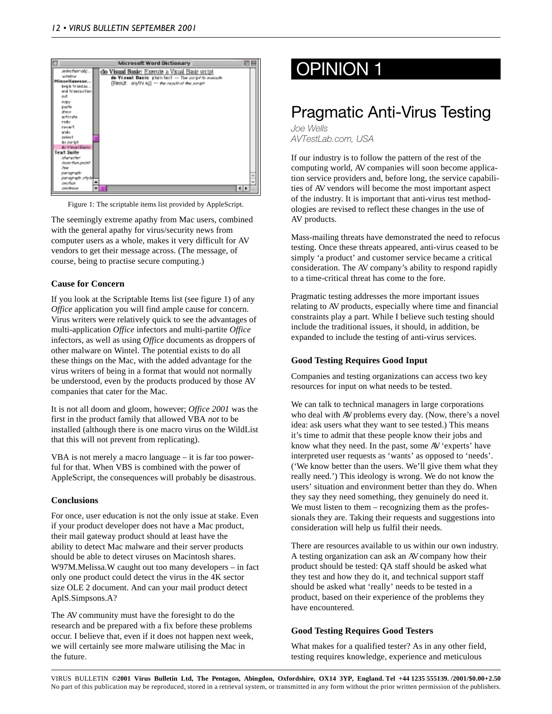

Figure 1: The scriptable items list provided by AppleScript.

The seemingly extreme apathy from Mac users, combined with the general apathy for virus/security news from computer users as a whole, makes it very difficult for AV vendors to get their message across. (The message, of course, being to practise secure computing.)

#### **Cause for Concern**

If you look at the Scriptable Items list (see figure 1) of any *Office* application you will find ample cause for concern. Virus writers were relatively quick to see the advantages of multi-application *Office* infectors and multi-partite *Office* infectors, as well as using *Office* documents as droppers of other malware on Wintel. The potential exists to do all these things on the Mac, with the added advantage for the virus writers of being in a format that would not normally be understood, even by the products produced by those AV companies that cater for the Mac.

It is not all doom and gloom, however; *Office 2001* was the first in the product family that allowed VBA *not* to be installed (although there is one macro virus on the WildList that this will not prevent from replicating).

VBA is not merely a macro language – it is far too powerful for that. When VBS is combined with the power of AppleScript, the consequences will probably be disastrous.

#### **Conclusions**

For once, user education is not the only issue at stake. Even if your product developer does not have a Mac product, their mail gateway product should at least have the ability to detect Mac malware and their server products should be able to detect viruses on Macintosh shares. W97M.Melissa.W caught out too many developers – in fact only one product could detect the virus in the 4K sector size OLE 2 document. And can your mail product detect AplS.Simpsons.A?

The AV community must have the foresight to do the research and be prepared with a fix before these problems occur. I believe that, even if it does not happen next week, we will certainly see more malware utilising the Mac in the future.

# OPINION 1

# Pragmatic Anti-Virus Testing

*Joe Wells AVTestLab.com, USA*

If our industry is to follow the pattern of the rest of the computing world, AV companies will soon become application service providers and, before long, the service capabilities of AV vendors will become the most important aspect of the industry. It is important that anti-virus test methodologies are revised to reflect these changes in the use of AV products.

Mass-mailing threats have demonstrated the need to refocus testing. Once these threats appeared, anti-virus ceased to be simply 'a product' and customer service became a critical consideration. The AV company's ability to respond rapidly to a time-critical threat has come to the fore.

Pragmatic testing addresses the more important issues relating to AV products, especially where time and financial constraints play a part. While I believe such testing should include the traditional issues, it should, in addition, be expanded to include the testing of anti-virus services.

### **Good Testing Requires Good Input**

Companies and testing organizations can access two key resources for input on what needs to be tested.

We can talk to technical managers in large corporations who deal with AV problems every day. (Now, there's a novel idea: ask users what they want to see tested.) This means it's time to admit that these people know their jobs and know what they need. In the past, some AV 'experts' have interpreted user requests as 'wants' as opposed to 'needs'. ('We know better than the users. We'll give them what they really need.') This ideology is wrong. We do not know the users' situation and environment better than they do. When they say they need something, they genuinely do need it. We must listen to them – recognizing them as the professionals they are. Taking their requests and suggestions into consideration will help us fulfil their needs.

There are resources available to us within our own industry. A testing organization can ask an AV company how their product should be tested: QA staff should be asked what they test and how they do it, and technical support staff should be asked what 'really' needs to be tested in a product, based on their experience of the problems they have encountered.

### **Good Testing Requires Good Testers**

What makes for a qualified tester? As in any other field, testing requires knowledge, experience and meticulous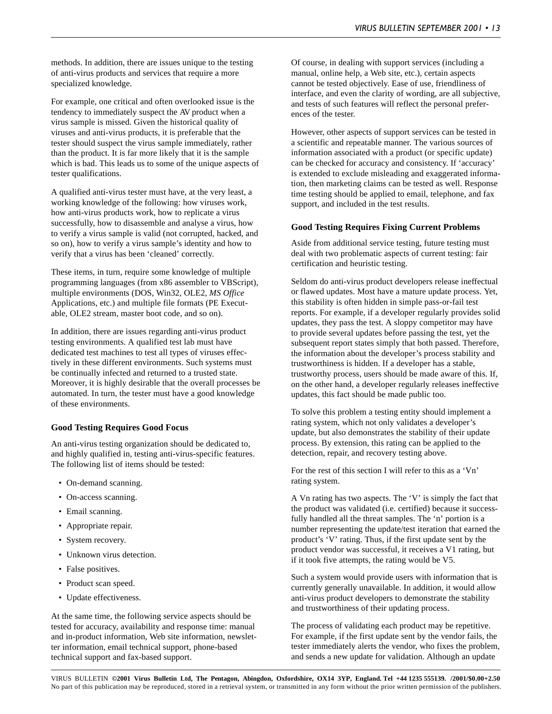methods. In addition, there are issues unique to the testing of anti-virus products and services that require a more specialized knowledge.

For example, one critical and often overlooked issue is the tendency to immediately suspect the AV product when a virus sample is missed. Given the historical quality of viruses and anti-virus products, it is preferable that the tester should suspect the virus sample immediately, rather than the product. It is far more likely that it is the sample which is bad. This leads us to some of the unique aspects of tester qualifications.

A qualified anti-virus tester must have, at the very least, a working knowledge of the following: how viruses work, how anti-virus products work, how to replicate a virus successfully, how to disassemble and analyse a virus, how to verify a virus sample is valid (not corrupted, hacked, and so on), how to verify a virus sample's identity and how to verify that a virus has been 'cleaned' correctly.

These items, in turn, require some knowledge of multiple programming languages (from x86 assembler to VBScript), multiple environments (DOS, Win32, OLE2, *MS Office* Applications, etc.) and multiple file formats (PE Executable, OLE2 stream, master boot code, and so on).

In addition, there are issues regarding anti-virus product testing environments. A qualified test lab must have dedicated test machines to test all types of viruses effectively in these different environments. Such systems must be continually infected and returned to a trusted state. Moreover, it is highly desirable that the overall processes be automated. In turn, the tester must have a good knowledge of these environments.

#### **Good Testing Requires Good Focus**

An anti-virus testing organization should be dedicated to, and highly qualified in, testing anti-virus-specific features. The following list of items should be tested:

- On-demand scanning.
- On-access scanning.
- Email scanning.
- Appropriate repair.
- System recovery.
- Unknown virus detection.
- False positives.
- Product scan speed.
- Update effectiveness.

At the same time, the following service aspects should be tested for accuracy, availability and response time: manual and in-product information, Web site information, newsletter information, email technical support, phone-based technical support and fax-based support.

Of course, in dealing with support services (including a manual, online help, a Web site, etc.), certain aspects cannot be tested objectively. Ease of use, friendliness of interface, and even the clarity of wording, are all subjective, and tests of such features will reflect the personal preferences of the tester.

However, other aspects of support services can be tested in a scientific and repeatable manner. The various sources of information associated with a product (or specific update) can be checked for accuracy and consistency. If 'accuracy' is extended to exclude misleading and exaggerated information, then marketing claims can be tested as well. Response time testing should be applied to email, telephone, and fax support, and included in the test results.

#### **Good Testing Requires Fixing Current Problems**

Aside from additional service testing, future testing must deal with two problematic aspects of current testing: fair certification and heuristic testing.

Seldom do anti-virus product developers release ineffectual or flawed updates. Most have a mature update process. Yet, this stability is often hidden in simple pass-or-fail test reports. For example, if a developer regularly provides solid updates, they pass the test. A sloppy competitor may have to provide several updates before passing the test, yet the subsequent report states simply that both passed. Therefore, the information about the developer's process stability and trustworthiness is hidden. If a developer has a stable, trustworthy process, users should be made aware of this. If, on the other hand, a developer regularly releases ineffective updates, this fact should be made public too.

To solve this problem a testing entity should implement a rating system, which not only validates a developer's update, but also demonstrates the stability of their update process. By extension, this rating can be applied to the detection, repair, and recovery testing above.

For the rest of this section I will refer to this as a 'Vn' rating system.

A Vn rating has two aspects. The 'V' is simply the fact that the product was validated (i.e. certified) because it successfully handled all the threat samples. The 'n' portion is a number representing the update/test iteration that earned the product's 'V' rating. Thus, if the first update sent by the product vendor was successful, it receives a V1 rating, but if it took five attempts, the rating would be V5.

Such a system would provide users with information that is currently generally unavailable. In addition, it would allow anti-virus product developers to demonstrate the stability and trustworthiness of their updating process.

The process of validating each product may be repetitive. For example, if the first update sent by the vendor fails, the tester immediately alerts the vendor, who fixes the problem, and sends a new update for validation. Although an update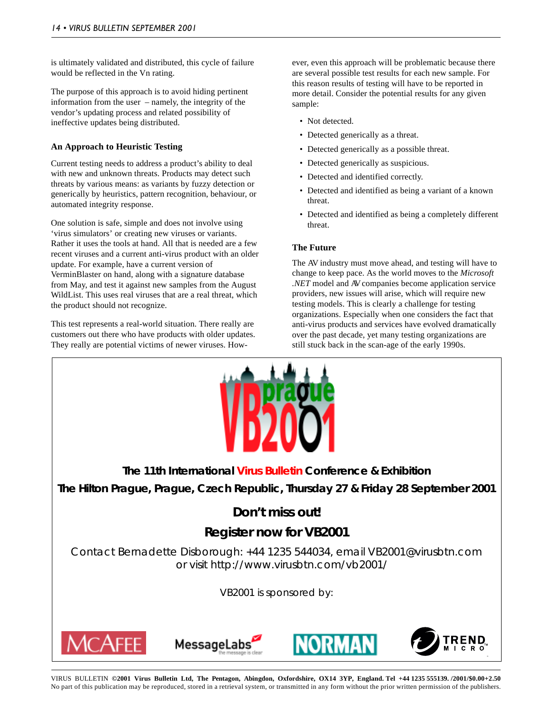is ultimately validated and distributed, this cycle of failure would be reflected in the Vn rating.

The purpose of this approach is to avoid hiding pertinent information from the user – namely, the integrity of the vendor's updating process and related possibility of ineffective updates being distributed.

### **An Approach to Heuristic Testing**

Current testing needs to address a product's ability to deal with new and unknown threats. Products may detect such threats by various means: as variants by fuzzy detection or generically by heuristics, pattern recognition, behaviour, or automated integrity response.

One solution is safe, simple and does not involve using 'virus simulators' or creating new viruses or variants. Rather it uses the tools at hand. All that is needed are a few recent viruses and a current anti-virus product with an older update. For example, have a current version of VerminBlaster on hand, along with a signature database from May, and test it against new samples from the August WildList. This uses real viruses that are a real threat, which the product should not recognize.

This test represents a real-world situation. There really are customers out there who have products with older updates. They really are potential victims of newer viruses. However, even this approach will be problematic because there are several possible test results for each new sample. For this reason results of testing will have to be reported in more detail. Consider the potential results for any given sample:

- Not detected.
- Detected generically as a threat.
- Detected generically as a possible threat.
- Detected generically as suspicious.
- Detected and identified correctly.
- Detected and identified as being a variant of a known threat.
- Detected and identified as being a completely different threat.

### **The Future**

The AV industry must move ahead, and testing will have to change to keep pace. As the world moves to the *Microsoft .NET* model and AV companies become application service providers, new issues will arise, which will require new testing models. This is clearly a challenge for testing organizations. Especially when one considers the fact that anti-virus products and services have evolved dramatically over the past decade, yet many testing organizations are still stuck back in the scan-age of the early 1990s.



**The 11th International Virus Bulletin Conference & Exhibition The Hilton Prague, Prague, Czech Republic, Thursday 27 & Friday 28 September 2001**

# **Don't miss out!**

# **Register now for VB2001**

Contact Bernadette Disborough: +44 1235 544034, email VB2001@virusbtn.com or visit http://www.virusbtn.com/vb2001/

VB2001 is sponsored by:







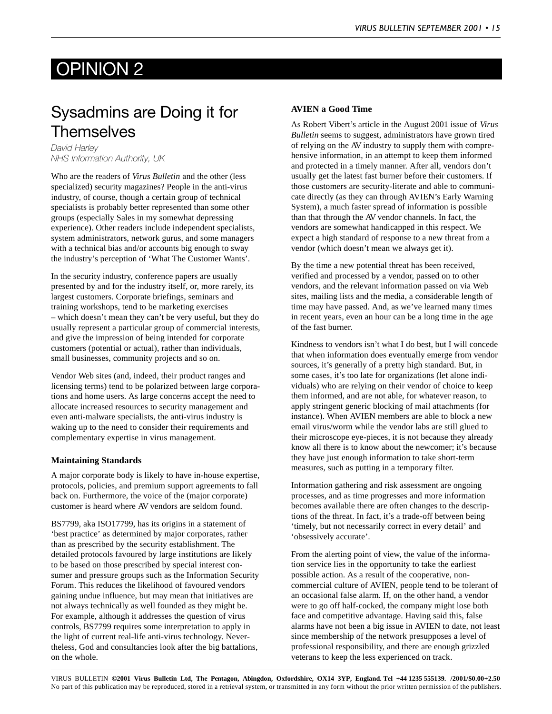# OPINION 2

# Sysadmins are Doing it for **Themselves**

*David Harley NHS Information Authority, UK*

Who are the readers of *Virus Bulletin* and the other (less specialized) security magazines? People in the anti-virus industry, of course, though a certain group of technical specialists is probably better represented than some other groups (especially Sales in my somewhat depressing experience). Other readers include independent specialists, system administrators, network gurus, and some managers with a technical bias and/or accounts big enough to sway the industry's perception of 'What The Customer Wants'.

In the security industry, conference papers are usually presented by and for the industry itself, or, more rarely, its largest customers. Corporate briefings, seminars and training workshops, tend to be marketing exercises – which doesn't mean they can't be very useful, but they do usually represent a particular group of commercial interests, and give the impression of being intended for corporate customers (potential or actual), rather than individuals, small businesses, community projects and so on.

Vendor Web sites (and, indeed, their product ranges and licensing terms) tend to be polarized between large corporations and home users. As large concerns accept the need to allocate increased resources to security management and even anti-malware specialists, the anti-virus industry is waking up to the need to consider their requirements and complementary expertise in virus management.

### **Maintaining Standards**

A major corporate body is likely to have in-house expertise, protocols, policies, and premium support agreements to fall back on. Furthermore, the voice of the (major corporate) customer is heard where AV vendors are seldom found.

BS7799, aka ISO17799, has its origins in a statement of 'best practice' as determined by major corporates, rather than as prescribed by the security establishment. The detailed protocols favoured by large institutions are likely to be based on those prescribed by special interest consumer and pressure groups such as the Information Security Forum. This reduces the likelihood of favoured vendors gaining undue influence, but may mean that initiatives are not always technically as well founded as they might be. For example, although it addresses the question of virus controls, BS7799 requires some interpretation to apply in the light of current real-life anti-virus technology. Nevertheless, God and consultancies look after the big battalions, on the whole.

### **AVIEN a Good Time**

As Robert Vibert's article in the August 2001 issue of *Virus Bulletin* seems to suggest, administrators have grown tired of relying on the AV industry to supply them with comprehensive information, in an attempt to keep them informed and protected in a timely manner. After all, vendors don't usually get the latest fast burner before their customers. If those customers are security-literate and able to communicate directly (as they can through AVIEN's Early Warning System), a much faster spread of information is possible than that through the AV vendor channels. In fact, the vendors are somewhat handicapped in this respect. We expect a high standard of response to a new threat from a vendor (which doesn't mean we always get it).

By the time a new potential threat has been received, verified and processed by a vendor, passed on to other vendors, and the relevant information passed on via Web sites, mailing lists and the media, a considerable length of time may have passed. And, as we've learned many times in recent years, even an hour can be a long time in the age of the fast burner.

Kindness to vendors isn't what I do best, but I will concede that when information does eventually emerge from vendor sources, it's generally of a pretty high standard. But, in some cases, it's too late for organizations (let alone individuals) who are relying on their vendor of choice to keep them informed, and are not able, for whatever reason, to apply stringent generic blocking of mail attachments (for instance). When AVIEN members are able to block a new email virus/worm while the vendor labs are still glued to their microscope eye-pieces, it is not because they already know all there is to know about the newcomer; it's because they have just enough information to take short-term measures, such as putting in a temporary filter.

Information gathering and risk assessment are ongoing processes, and as time progresses and more information becomes available there are often changes to the descriptions of the threat. In fact, it's a trade-off between being 'timely, but not necessarily correct in every detail' and 'obsessively accurate'.

From the alerting point of view, the value of the information service lies in the opportunity to take the earliest possible action. As a result of the cooperative, noncommercial culture of AVIEN, people tend to be tolerant of an occasional false alarm. If, on the other hand, a vendor were to go off half-cocked, the company might lose both face and competitive advantage. Having said this, false alarms have not been a big issue in AVIEN to date, not least since membership of the network presupposes a level of professional responsibility, and there are enough grizzled veterans to keep the less experienced on track.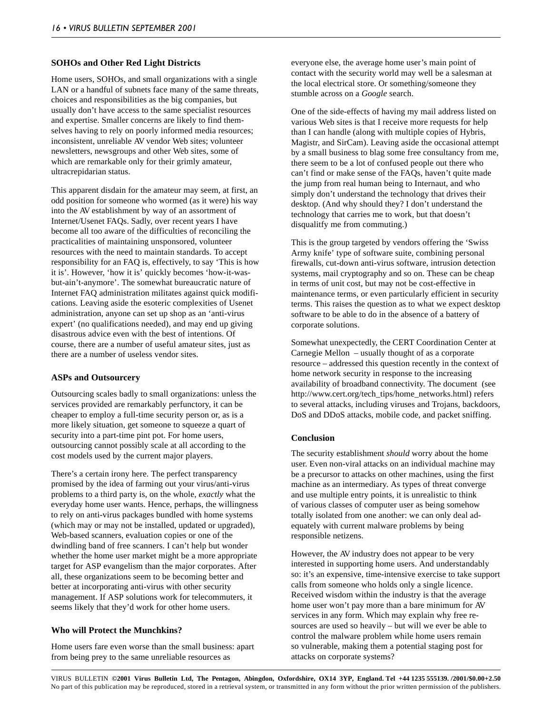#### **SOHOs and Other Red Light Districts**

Home users, SOHOs, and small organizations with a single LAN or a handful of subnets face many of the same threats, choices and responsibilities as the big companies, but usually don't have access to the same specialist resources and expertise. Smaller concerns are likely to find themselves having to rely on poorly informed media resources; inconsistent, unreliable AV vendor Web sites; volunteer newsletters, newsgroups and other Web sites, some of which are remarkable only for their grimly amateur, ultracrepidarian status.

This apparent disdain for the amateur may seem, at first, an odd position for someone who wormed (as it were) his way into the AV establishment by way of an assortment of Internet/Usenet FAQs. Sadly, over recent years I have become all too aware of the difficulties of reconciling the practicalities of maintaining unsponsored, volunteer resources with the need to maintain standards. To accept responsibility for an FAQ is, effectively, to say 'This is how it is'. However, 'how it is' quickly becomes 'how-it-wasbut-ain't-anymore'. The somewhat bureaucratic nature of Internet FAQ administration militates against quick modifications. Leaving aside the esoteric complexities of Usenet administration, anyone can set up shop as an 'anti-virus expert' (no qualifications needed), and may end up giving disastrous advice even with the best of intentions. Of course, there are a number of useful amateur sites, just as there are a number of useless vendor sites.

### **ASPs and Outsourcery**

Outsourcing scales badly to small organizations: unless the services provided are remarkably perfunctory, it can be cheaper to employ a full-time security person or, as is a more likely situation, get someone to squeeze a quart of security into a part-time pint pot. For home users, outsourcing cannot possibly scale at all according to the cost models used by the current major players.

There's a certain irony here. The perfect transparency promised by the idea of farming out your virus/anti-virus problems to a third party is, on the whole, *exactly* what the everyday home user wants. Hence, perhaps, the willingness to rely on anti-virus packages bundled with home systems (which may or may not be installed, updated or upgraded), Web-based scanners, evaluation copies or one of the dwindling band of free scanners. I can't help but wonder whether the home user market might be a more appropriate target for ASP evangelism than the major corporates. After all, these organizations seem to be becoming better and better at incorporating anti-virus with other security management. If ASP solutions work for telecommuters, it seems likely that they'd work for other home users.

### **Who will Protect the Munchkins?**

Home users fare even worse than the small business: apart from being prey to the same unreliable resources as

everyone else, the average home user's main point of contact with the security world may well be a salesman at the local electrical store. Or something/someone they stumble across on a *Google* search.

One of the side-effects of having my mail address listed on various Web sites is that I receive more requests for help than I can handle (along with multiple copies of Hybris, Magistr, and SirCam). Leaving aside the occasional attempt by a small business to blag some free consultancy from me, there seem to be a lot of confused people out there who can't find or make sense of the FAQs, haven't quite made the jump from real human being to Internaut, and who simply don't understand the technology that drives their desktop. (And why should they? I don't understand the technology that carries me to work, but that doesn't disqualitfy me from commuting.)

This is the group targeted by vendors offering the 'Swiss Army knife' type of software suite, combining personal firewalls, cut-down anti-virus software, intrusion detection systems, mail cryptography and so on. These can be cheap in terms of unit cost, but may not be cost-effective in maintenance terms, or even particularly efficient in security terms. This raises the question as to what we expect desktop software to be able to do in the absence of a battery of corporate solutions.

Somewhat unexpectedly, the CERT Coordination Center at Carnegie Mellon – usually thought of as a corporate resource – addressed this question recently in the context of home network security in response to the increasing availability of broadband connectivity. The document (see http://www.cert.org/tech\_tips/home\_networks.html) refers to several attacks, including viruses and Trojans, backdoors, DoS and DDoS attacks, mobile code, and packet sniffing.

### **Conclusion**

The security establishment *should* worry about the home user. Even non-viral attacks on an individual machine may be a precursor to attacks on other machines, using the first machine as an intermediary. As types of threat converge and use multiple entry points, it is unrealistic to think of various classes of computer user as being somehow totally isolated from one another: we can only deal adequately with current malware problems by being responsible netizens.

However, the AV industry does not appear to be very interested in supporting home users. And understandably so: it's an expensive, time-intensive exercise to take support calls from someone who holds only a single licence. Received wisdom within the industry is that the average home user won't pay more than a bare minimum for AV services in any form. Which may explain why free resources are used so heavily – but will we ever be able to control the malware problem while home users remain so vulnerable, making them a potential staging post for attacks on corporate systems?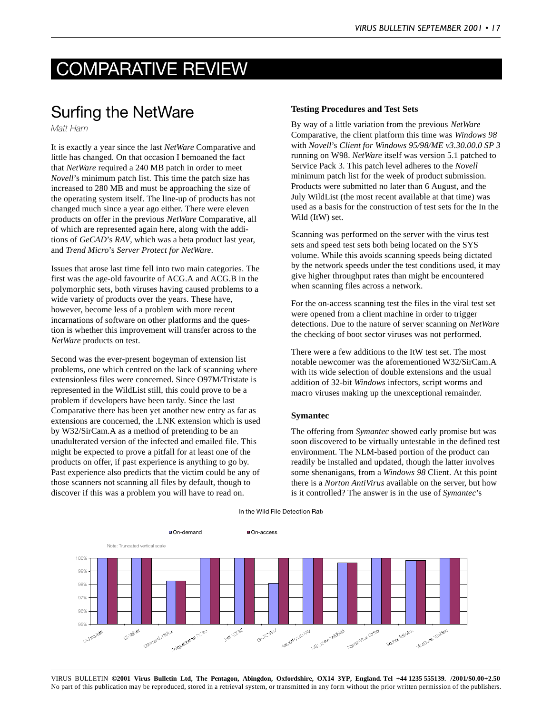# COMPARATIVE REVIEW

# Surfing the NetWare

*Matt Ham*

It is exactly a year since the last *NetWare* Comparative and little has changed. On that occasion I bemoaned the fact that *NetWare* required a 240 MB patch in order to meet *Novell*'s minimum patch list. This time the patch size has increased to 280 MB and must be approaching the size of the operating system itself. The line-up of products has not changed much since a year ago either. There were eleven products on offer in the previous *NetWare* Comparative, all of which are represented again here, along with the additions of *GeCAD*'s *RAV*, which was a beta product last year, and *Trend Micro*'s *Server Protect for NetWare*.

Issues that arose last time fell into two main categories. The first was the age-old favourite of ACG.A and ACG.B in the polymorphic sets, both viruses having caused problems to a wide variety of products over the years. These have, however, become less of a problem with more recent incarnations of software on other platforms and the question is whether this improvement will transfer across to the *NetWare* products on test.

Second was the ever-present bogeyman of extension list problems, one which centred on the lack of scanning where extensionless files were concerned. Since O97M/Tristate is represented in the WildList still, this could prove to be a problem if developers have been tardy. Since the last Comparative there has been yet another new entry as far as extensions are concerned, the .LNK extension which is used by W32/SirCam.A as a method of pretending to be an unadulterated version of the infected and emailed file. This might be expected to prove a pitfall for at least one of the products on offer, if past experience is anything to go by. Past experience also predicts that the victim could be any of those scanners not scanning all files by default, though to discover if this was a problem you will have to read on.

#### **Testing Procedures and Test Sets**

By way of a little variation from the previous *NetWare* Comparative, the client platform this time was *Windows 98* with *Novell*'s *Client for Windows 95/98/ME v3.30.00.0 SP 3* running on W98. *NetWare* itself was version 5.1 patched to Service Pack 3. This patch level adheres to the *Novell* minimum patch list for the week of product submission. Products were submitted no later than 6 August, and the July WildList (the most recent available at that time) was used as a basis for the construction of test sets for the In the Wild (ItW) set.

Scanning was performed on the server with the virus test sets and speed test sets both being located on the SYS volume. While this avoids scanning speeds being dictated by the network speeds under the test conditions used, it may give higher throughput rates than might be encountered when scanning files across a network.

For the on-access scanning test the files in the viral test set were opened from a client machine in order to trigger detections. Due to the nature of server scanning on *NetWare* the checking of boot sector viruses was not performed.

There were a few additions to the ItW test set. The most notable newcomer was the aforementioned W32/SirCam.A with its wide selection of double extensions and the usual addition of 32-bit *Windows* infectors, script worms and macro viruses making up the unexceptional remainder.

#### **Symantec**

The offering from *Symantec* showed early promise but was soon discovered to be virtually untestable in the defined test environment. The NLM-based portion of the product can readily be installed and updated, though the latter involves some shenanigans, from a *Windows 98* Client. At this point there is a *Norton AntiVirus* available on the server, but how is it controlled? The answer is in the use of *Symantec*'s



In the Wild File Detection Rate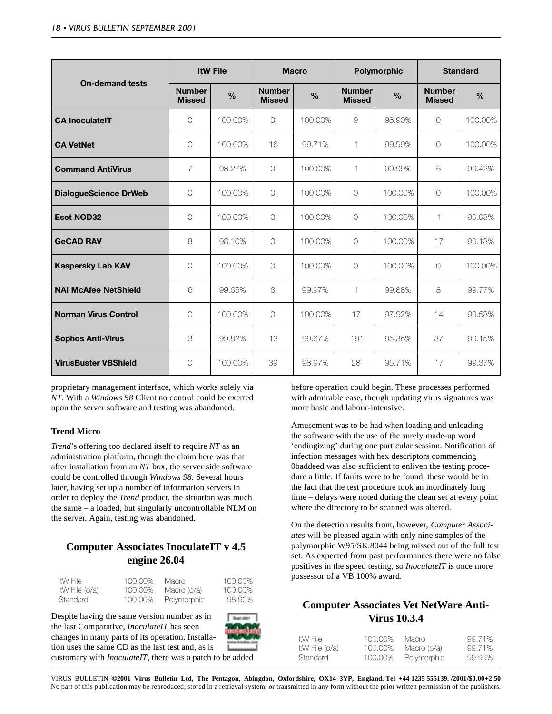|                              |                                | <b>ItW File</b> |                                | <b>Macro</b>  |                                | Polymorphic   |                                | <b>Standard</b> |  |
|------------------------------|--------------------------------|-----------------|--------------------------------|---------------|--------------------------------|---------------|--------------------------------|-----------------|--|
| <b>On-demand tests</b>       | <b>Number</b><br><b>Missed</b> | $\frac{0}{0}$   | <b>Number</b><br><b>Missed</b> | $\frac{0}{0}$ | <b>Number</b><br><b>Missed</b> | $\frac{0}{0}$ | <b>Number</b><br><b>Missed</b> | $\%$            |  |
| <b>CA InoculateIT</b>        | $\bigcirc$                     | 100.00%         | $\bigcirc$                     | 100.00%       | $\Theta$                       | 98.90%        | $\bigcirc$                     | 100.00%         |  |
| <b>CA VetNet</b>             | $\circ$                        | 100.00%         | 16                             | 99.71%        | 1                              | 99.99%        | $\circ$                        | 100.00%         |  |
| <b>Command AntiVirus</b>     | $\overline{7}$                 | 98.27%          | $\bigcirc$                     | 100.00%       | 1                              | 99.99%        | 6                              | 99.42%          |  |
| <b>DialogueScience DrWeb</b> | $\circ$                        | 100,00%         | $\circ$                        | 100.00%       | $\circ$                        | 100.00%       | $\circ$                        | 100.00%         |  |
| <b>Eset NOD32</b>            | $\circ$                        | 100.00%         | $\circ$                        | 100.00%       | $\circ$                        | 100.00%       | 1                              | 99.98%          |  |
| <b>GeCAD RAV</b>             | 8                              | 98.10%          | $\bigcirc$                     | 100,00%       | 0                              | 100,00%       | 17                             | 99.13%          |  |
| <b>Kaspersky Lab KAV</b>     | $\circ$                        | 100.00%         | $\bigcirc$                     | 100.00%       | 0                              | 100.00%       | $\circ$                        | 100.00%         |  |
| <b>NAI McAfee NetShield</b>  | 6                              | 99.65%          | 3                              | 99.97%        | $\mathbf{1}$                   | 99.88%        | 8                              | 99.77%          |  |
| <b>Norman Virus Control</b>  | $\bigcirc$                     | 100,00%         | $\bigcirc$                     | 100,00%       | 17                             | 97.92%        | 14                             | 99.58%          |  |
| <b>Sophos Anti-Virus</b>     | 3                              | 99.82%          | 13                             | 99.67%        | 191                            | 95.36%        | 37                             | 99.15%          |  |
| <b>VirusBuster VBShield</b>  | $\circ$                        | 100,00%         | 39                             | 98.97%        | 28                             | 95.71%        | 17                             | 99.37%          |  |

proprietary management interface, which works solely via *NT*. With a *Windows 98* Client no control could be exerted upon the server software and testing was abandoned.

### **Trend Micro**

*Trend*'s offering too declared itself to require *NT* as an administration platform, though the claim here was that after installation from an *NT* box, the server side software could be controlled through *Windows 98*. Several hours later, having set up a number of information servers in order to deploy the *Trend* product, the situation was much the same – a loaded, but singularly uncontrollable NLM on the server. Again, testing was abandoned.

### **Computer Associates InoculateIT v 4.5 engine 26.04**

| ItW File       | 100.00% | Macro       | 100.00% |
|----------------|---------|-------------|---------|
| ItW File (o/a) | 100,00% | Macro (o/a) | 100,00% |
| Standard       | 100.00% | Polymorphic | 98.90%  |

Despite having the same version number as in the last Comparative, *InoculateIT* has seen changes in many parts of its operation. Installation uses the same CD as the last test and, as is



customary with *InoculateIT*, there was a patch to be added

before operation could begin. These processes performed with admirable ease, though updating virus signatures was more basic and labour-intensive.

Amusement was to be had when loading and unloading the software with the use of the surely made-up word 'endingizing' during one particular session. Notification of infection messages with hex descriptors commencing 0baddeed was also sufficient to enliven the testing procedure a little. If faults were to be found, these would be in the fact that the test procedure took an inordinately long time – delays were noted during the clean set at every point where the directory to be scanned was altered.

On the detection results front, however, *Computer Associates* will be pleased again with only nine samples of the polymorphic W95/SK.8044 being missed out of the full test set. As expected from past performances there were no false positives in the speed testing, so *InoculateIT* is once more possessor of a VB 100% award.

## **Computer Associates Vet NetWare Anti-Virus 10.3.4**

| ltW File:      | 100.00% | Macro       | 99.71% |
|----------------|---------|-------------|--------|
| ItW File (o/a) | 100.00% | Macro (o/a) | 99.71% |
| Standard       | 100.00% | Polymorphic | 99.99% |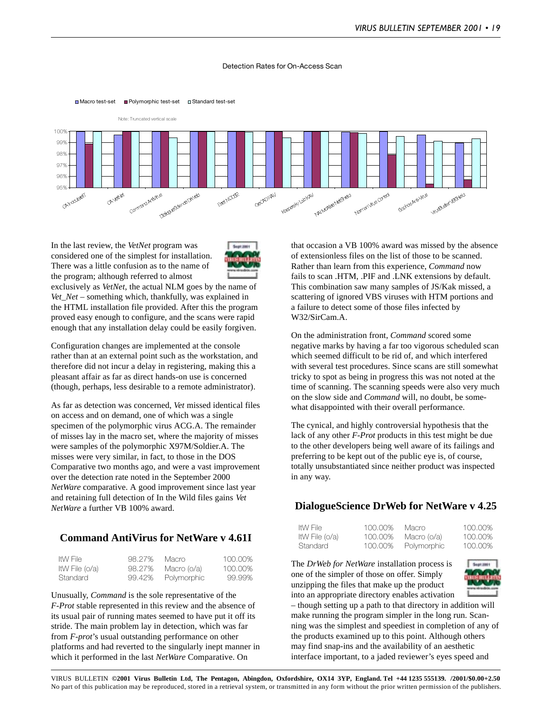#### Detection Rates for On-Access Scan



In the last review, the *VetNet* program was considered one of the simplest for installation. There was a little confusion as to the name of the program; although referred to almost



exclusively as *VetNet*, the actual NLM goes by the name of *Vet\_Net* – something which, thankfully, was explained in the HTML installation file provided. After this the program proved easy enough to configure, and the scans were rapid enough that any installation delay could be easily forgiven.

■ Macro test-set ■ Polymorphic test-set □ Standard test-set

Configuration changes are implemented at the console rather than at an external point such as the workstation, and therefore did not incur a delay in registering, making this a pleasant affair as far as direct hands-on use is concerned (though, perhaps, less desirable to a remote administrator).

As far as detection was concerned, *Vet* missed identical files on access and on demand, one of which was a single specimen of the polymorphic virus ACG.A. The remainder of misses lay in the macro set, where the majority of misses were samples of the polymorphic X97M/Soldier.A. The misses were very similar, in fact, to those in the DOS Comparative two months ago, and were a vast improvement over the detection rate noted in the September 2000 *NetWare* comparative. A good improvement since last year and retaining full detection of In the Wild files gains *Vet NetWare* a further VB 100% award.

### **Command AntiVirus for NetWare v 4.61I**

| ItW File       | 98.27% | Macro       | 100.00% |
|----------------|--------|-------------|---------|
| ItW File (o/a) | 98.27% | Macro (o/a) | 100.00% |
| Standard       | 99.42% | Polymorphic | 99.99%  |

Unusually, *Command* is the sole representative of the *F-Prot* stable represented in this review and the absence of its usual pair of running mates seemed to have put it off its stride. The main problem lay in detection, which was far from *F-prot*'s usual outstanding performance on other platforms and had reverted to the singularly inept manner in which it performed in the last *NetWare* Comparative. On

that occasion a VB 100% award was missed by the absence of extensionless files on the list of those to be scanned. Rather than learn from this experience, *Command* now fails to scan .HTM, .PIF and .LNK extensions by default. This combination saw many samples of JS/Kak missed, a scattering of ignored VBS viruses with HTM portions and a failure to detect some of those files infected by W32/SirCam.A.

On the administration front, *Command* scored some negative marks by having a far too vigorous scheduled scan which seemed difficult to be rid of, and which interfered with several test procedures. Since scans are still somewhat tricky to spot as being in progress this was not noted at the time of scanning. The scanning speeds were also very much on the slow side and *Command* will, no doubt, be somewhat disappointed with their overall performance.

The cynical, and highly controversial hypothesis that the lack of any other *F-Prot* products in this test might be due to the other developers being well aware of its failings and preferring to be kept out of the public eye is, of course, totally unsubstantiated since neither product was inspected in any way.

### **DialogueScience DrWeb for NetWare v 4.25**

| ItW File       | 100.00% | Macro       | 100.00% |
|----------------|---------|-------------|---------|
| ItW File (o/a) | 100.00% | Macro (o/a) | 100.00% |
| Standard       | 100,00% | Polymorphic | 100.00% |



The *DrWeb for NetWare* installation process is one of the simpler of those on offer. Simply unzipping the files that make up the product into an appropriate directory enables activation



– though setting up a path to that directory in addition will make running the program simpler in the long run. Scanning was the simplest and speediest in completion of any of the products examined up to this point. Although others may find snap-ins and the availability of an aesthetic interface important, to a jaded reviewer's eyes speed and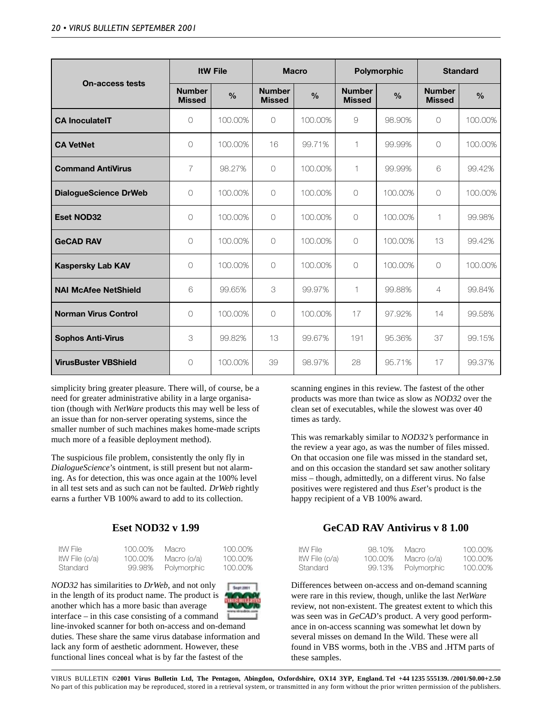|                              |                                | <b>ItW File</b> |                                | <b>Macro</b>  |                                | Polymorphic   |                                | <b>Standard</b> |  |
|------------------------------|--------------------------------|-----------------|--------------------------------|---------------|--------------------------------|---------------|--------------------------------|-----------------|--|
| <b>On-access tests</b>       | <b>Number</b><br><b>Missed</b> | $\%$            | <b>Number</b><br><b>Missed</b> | $\frac{0}{0}$ | <b>Number</b><br><b>Missed</b> | $\frac{0}{0}$ | <b>Number</b><br><b>Missed</b> | $\frac{0}{0}$   |  |
| <b>CA InoculateIT</b>        | $\bigcirc$                     | 100.00%         | $\bigcap$                      | 100,00%       | 9                              | 98.90%        | $\bigcirc$                     | 100.00%         |  |
| <b>CA VetNet</b>             | 0                              | 100.00%         | 16                             | 99.71%        | $\mathbf 1$                    | 99.99%        | $\bigcirc$                     | 100.00%         |  |
| <b>Command AntiVirus</b>     | $\overline{7}$                 | 98.27%          | $\bigcirc$                     | 100,00%       | $\mathbf{1}$                   | 99.99%        | 6                              | 99.42%          |  |
| <b>DialogueScience DrWeb</b> | $\bigcirc$                     | 100.00%         | $\bigcirc$                     | 100,00%       | $\bigcirc$                     | 100.00%       | $\bigcirc$                     | 100.00%         |  |
| <b>Eset NOD32</b>            | 0                              | 100.00%         | $\circ$                        | 100.00%       | $\circ$                        | 100.00%       | 1                              | 99.98%          |  |
| <b>GeCAD RAV</b>             | 0                              | 100.00%         | $\bigcirc$                     | 100,00%       | $\circ$                        | 100.00%       | 13                             | 99.42%          |  |
| <b>Kaspersky Lab KAV</b>     | 0                              | 100.00%         | $\circ$                        | 100,00%       | $\circ$                        | 100.00%       | $\circ$                        | 100.00%         |  |
| <b>NAI McAfee NetShield</b>  | 6                              | 99.65%          | 3                              | 99.97%        | $\mathbf{1}$                   | 99.88%        | $\overline{4}$                 | 99.84%          |  |
| <b>Norman Virus Control</b>  | 0                              | 100.00%         | $\bigcirc$                     | 100,00%       | 17                             | 97.92%        | 14                             | 99.58%          |  |
| <b>Sophos Anti-Virus</b>     | 3                              | 99.82%          | 13                             | 99.67%        | 191                            | 95.36%        | 37                             | 99.15%          |  |
| <b>VirusBuster VBShield</b>  | 0                              | 100.00%         | 39                             | 98.97%        | 28                             | 95.71%        | 17                             | 99.37%          |  |

simplicity bring greater pleasure. There will, of course, be a need for greater administrative ability in a large organisation (though with *NetWare* products this may well be less of an issue than for non-server operating systems, since the smaller number of such machines makes home-made scripts much more of a feasible deployment method).

The suspicious file problem, consistently the only fly in *DialogueScience*'s ointment, is still present but not alarming. As for detection, this was once again at the 100% level in all test sets and as such can not be faulted. *DrWeb* rightly earns a further VB 100% award to add to its collection.

### **Eset NOD32 v 1.99**

| ItW File       | 100.00% | Macro       | 100.00% |
|----------------|---------|-------------|---------|
| ItW File (o/a) | 100.00% | Macro (o/a) | 100.00% |
| Standard       | 99.98%  | Polymorphic | 100.00% |

*NOD32* has similarities to *DrWeb*, and not only in the length of its product name. The product is another which has a more basic than average interface – in this case consisting of a command

line-invoked scanner for both on-access and on-demand duties. These share the same virus database information and lack any form of aesthetic adornment. However, these functional lines conceal what is by far the fastest of the

scanning engines in this review. The fastest of the other products was more than twice as slow as *NOD32* over the clean set of executables, while the slowest was over 40 times as tardy.

This was remarkably similar to *NOD32's* performance in the review a year ago, as was the number of files missed. On that occasion one file was missed in the standard set, and on this occasion the standard set saw another solitary miss – though, admittedly, on a different virus. No false positives were registered and thus *Eset*'s product is the happy recipient of a VB 100% award.

### **GeCAD RAV Antivirus v 8 1.00**

| ItW File       | 98.10%  | Macro       | 100.00% |
|----------------|---------|-------------|---------|
| ItW File (o/a) | 100.00% | Macro (o/a) | 100.00% |
| Standard       | 99.13%  | Polymorphic | 100,00% |

Differences between on-access and on-demand scanning were rare in this review, though, unlike the last *NetWare* review, not non-existent. The greatest extent to which this was seen was in *GeCAD*'s product. A very good performance in on-access scanning was somewhat let down by several misses on demand In the Wild. These were all found in VBS worms, both in the .VBS and .HTM parts of these samples.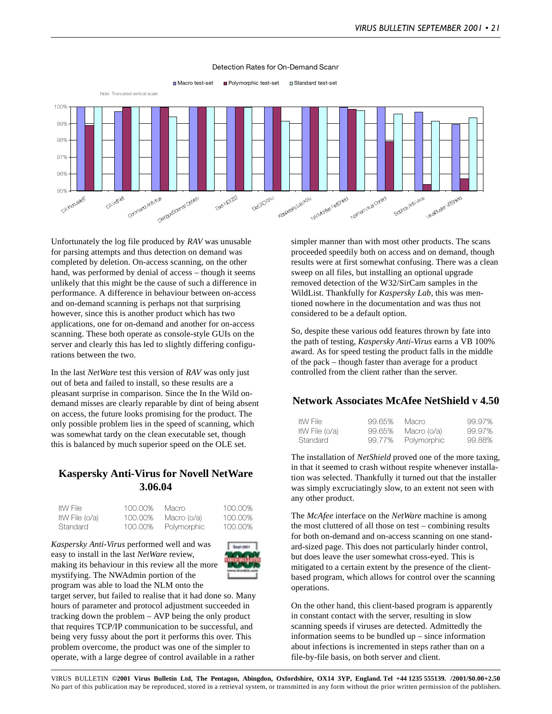

#### Detection Rates for On-Demand Scanr

Unfortunately the log file produced by *RAV* was unusable for parsing attempts and thus detection on demand was completed by deletion. On-access scanning, on the other hand, was performed by denial of access – though it seems unlikely that this might be the cause of such a difference in performance. A difference in behaviour between on-access and on-demand scanning is perhaps not that surprising however, since this is another product which has two applications, one for on-demand and another for on-access scanning. These both operate as console-style GUIs on the server and clearly this has led to slightly differing configurations between the two.

In the last *NetWare* test this version of *RAV* was only just out of beta and failed to install, so these results are a pleasant surprise in comparison. Since the In the Wild ondemand misses are clearly reparable by dint of being absent on access, the future looks promising for the product. The only possible problem lies in the speed of scanning, which was somewhat tardy on the clean executable set, though this is balanced by much superior speed on the OLE set.

### **Kaspersky Anti-Virus for Novell NetWare 3.06.04**

| ItW File       | 100.00% | Macro       | 100.00% |
|----------------|---------|-------------|---------|
| ItW File (o/a) | 100,00% | Macro (o/a) | 100.00% |
| Standard       | 100,00% | Polymorphic | 100,00% |

*Kaspersky Anti-Virus* performed well and was easy to install in the last *NetWare* review, making its behaviour in this review all the more mystifying. The NWAdmin portion of the program was able to load the NLM onto the



target server, but failed to realise that it had done so. Many hours of parameter and protocol adjustment succeeded in tracking down the problem – AVP being the only product that requires TCP/IP communication to be successful, and being very fussy about the port it performs this over. This problem overcome, the product was one of the simpler to operate, with a large degree of control available in a rather

simpler manner than with most other products. The scans proceeded speedily both on access and on demand, though results were at first somewhat confusing. There was a clean sweep on all files, but installing an optional upgrade removed detection of the W32/SirCam samples in the WildList. Thankfully for *Kaspersky Lab,* this was mentioned nowhere in the documentation and was thus not considered to be a default option.

So, despite these various odd features thrown by fate into the path of testing, *Kaspersky Anti-Virus* earns a VB 100% award. As for speed testing the product falls in the middle of the pack – though faster than average for a product controlled from the client rather than the server.

### **Network Associates McAfee NetShield v 4.50**

| ltW File:      | 99.65% | Macro       | 99.97% |
|----------------|--------|-------------|--------|
| ItW File (o/a) | 99.65% | Macro (o/a) | 99.97% |
| Standard       | 99.77% | Polymorphic | 99.88% |

The installation of *NetShield* proved one of the more taxing, in that it seemed to crash without respite whenever installation was selected. Thankfully it turned out that the installer was simply excruciatingly slow, to an extent not seen with any other product.

The *McAfee* interface on the *NetWare* machine is among the most cluttered of all those on test – combining results for both on-demand and on-access scanning on one standard-sized page. This does not particularly hinder control, but does leave the user somewhat cross-eyed. This is mitigated to a certain extent by the presence of the clientbased program, which allows for control over the scanning operations.

On the other hand, this client-based program is apparently in constant contact with the server, resulting in slow scanning speeds if viruses are detected. Admittedly the information seems to be bundled up – since information about infections is incremented in steps rather than on a file-by-file basis, on both server and client.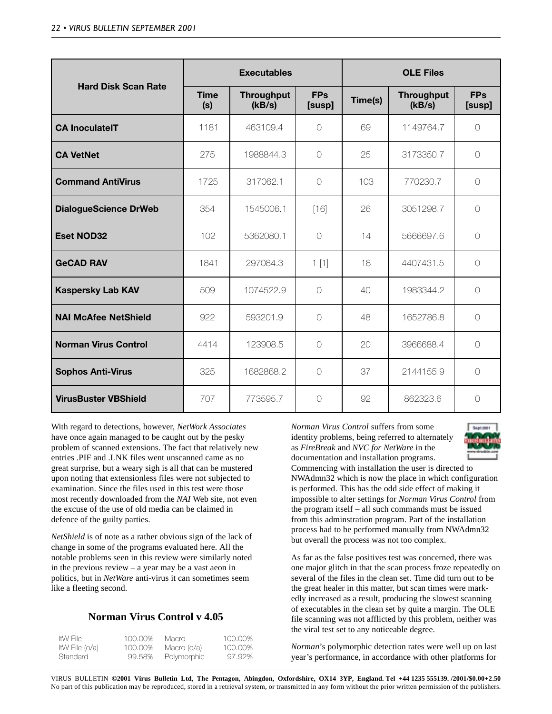|                              | <b>Executables</b> |                             |                      | <b>OLE Files</b> |                             |                      |
|------------------------------|--------------------|-----------------------------|----------------------|------------------|-----------------------------|----------------------|
| <b>Hard Disk Scan Rate</b>   | <b>Time</b><br>(s) | <b>Throughput</b><br>(kB/s) | <b>FPs</b><br>[susp] | Time(s)          | <b>Throughput</b><br>(kB/s) | <b>FPs</b><br>[susp] |
| <b>CA InoculateIT</b>        | 1181               | 463109.4                    | $\bigcirc$           | 69               | 1149764.7                   | $\bigcap$            |
| <b>CA VetNet</b>             | 275                | 1988844.3                   | $\bigcirc$           | 25               | 3173350.7                   | $\bigcap$            |
| <b>Command AntiVirus</b>     | 1725               | 317062.1                    | $\bigcirc$           | 103              | 770230.7                    | $\bigcirc$           |
| <b>DialogueScience DrWeb</b> | 354                | 1545006.1                   | $[16]$               | 26               | 3051298.7                   | $\bigcirc$           |
| <b>Eset NOD32</b>            | 102                | 5362080.1                   | $\bigcirc$           | 14               | 5666697.6                   | $\bigcirc$           |
| <b>GeCAD RAV</b>             | 1841               | 297084.3                    | 1[1]                 | 18               | 4407431.5                   | $\bigcap$            |
| <b>Kaspersky Lab KAV</b>     | 509                | 1074522.9                   | $\bigcap$            | 40               | 1983344.2                   | $\bigcap$            |
| <b>NAI McAfee NetShield</b>  | 922                | 593201.9                    | $\bigcirc$           | 48               | 1652786.8                   | $\bigcap$            |
| <b>Norman Virus Control</b>  | 4414               | 123908.5                    | $\bigcirc$           | 20               | 3966688.4                   | $\bigcap$            |
| <b>Sophos Anti-Virus</b>     | 325                | 1682868.2                   | $\bigcirc$           | 37               | 2144155.9                   | $\bigcap$            |
| <b>VirusBuster VBShield</b>  | 707                | 773595.7                    | $\bigcirc$           | 92               | 862323.6                    | $\bigcirc$           |

With regard to detections, however, *NetWork Associates* have once again managed to be caught out by the pesky problem of scanned extensions. The fact that relatively new entries .PIF and .LNK files went unscanned came as no great surprise, but a weary sigh is all that can be mustered upon noting that extensionless files were not subjected to examination. Since the files used in this test were those most recently downloaded from the *NAI* Web site, not even the excuse of the use of old media can be claimed in defence of the guilty parties.

*NetShield* is of note as a rather obvious sign of the lack of change in some of the programs evaluated here. All the notable problems seen in this review were similarly noted in the previous review – a year may be a vast aeon in politics, but in *NetWare* anti-virus it can sometimes seem like a fleeting second.

### **Norman Virus Control v 4.05**

| ItW File       | 100.00% | Macro       | 100.00% |
|----------------|---------|-------------|---------|
| ItW File (o/a) | 100,00% | Macro (o/a) | 100.00% |
| Standard       | 99.58%  | Polymorphic | 97.92%  |

*Norman Virus Control* suffers from some identity problems, being referred to alternately as *FireBreak* and *NVC for NetWare* in the documentation and installation programs. Commencing with installation the user is directed to NWAdmn32 which is now the place in which configuration is performed. This has the odd side effect of making it impossible to alter settings for *Norman Virus Control* from the program itself – all such commands must be issued from this adminstration program. Part of the installation process had to be performed manually from NWAdmn32 but overall the process was not too complex.

As far as the false positives test was concerned, there was one major glitch in that the scan process froze repeatedly on several of the files in the clean set. Time did turn out to be the great healer in this matter, but scan times were markedly increased as a result, producing the slowest scanning of executables in the clean set by quite a margin. The OLE file scanning was not afflicted by this problem, neither was the viral test set to any noticeable degree.

*Norman*'s polymorphic detection rates were well up on last year's performance, in accordance with other platforms for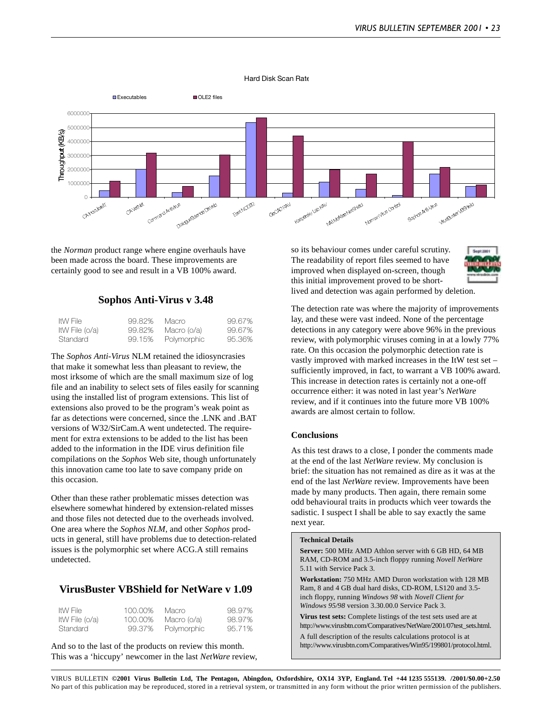Hard Disk Scan Rate



the *Norman* product range where engine overhauls have been made across the board. These improvements are certainly good to see and result in a VB 100% award.

### **Sophos Anti-Virus v 3.48**

| ItW File       | 99.82% | Macro       | 99.67% |
|----------------|--------|-------------|--------|
| ItW File (o/a) | 99.82% | Macro (o/a) | 99.67% |
| Standard       | 99.15% | Polymorphic | 95.36% |

The *Sophos Anti-Virus* NLM retained the idiosyncrasies that make it somewhat less than pleasant to review, the most irksome of which are the small maximum size of log file and an inability to select sets of files easily for scanning using the installed list of program extensions. This list of extensions also proved to be the program's weak point as far as detections were concerned, since the .LNK and .BAT versions of W32/SirCam.A went undetected. The requirement for extra extensions to be added to the list has been added to the information in the IDE virus definition file compilations on the *Sophos* Web site, though unfortunately this innovation came too late to save company pride on this occasion.

Other than these rather problematic misses detection was elsewhere somewhat hindered by extension-related misses and those files not detected due to the overheads involved. One area where the *Sophos NLM*, and other *Sophos* products in general, still have problems due to detection-related issues is the polymorphic set where ACG.A still remains undetected.

### **VirusBuster VBShield for NetWare v 1.09**

| ItW File       | 100,00% | Macro       | 98.97% |
|----------------|---------|-------------|--------|
| ItW File (o/a) | 100,00% | Macro (o/a) | 98.97% |
| Standard       | 99.37%  | Polymorphic | 95.71% |

And so to the last of the products on review this month. This was a 'hiccupy' newcomer in the last *NetWare* review, so its behaviour comes under careful scrutiny. The readability of report files seemed to have improved when displayed on-screen, though this initial improvement proved to be shortlived and detection was again performed by deletion.



The detection rate was where the majority of improvements lay, and these were vast indeed. None of the percentage detections in any category were above 96% in the previous review, with polymorphic viruses coming in at a lowly 77% rate. On this occasion the polymorphic detection rate is vastly improved with marked increases in the ItW test set – sufficiently improved, in fact, to warrant a VB 100% award. This increase in detection rates is certainly not a one-off occurrence either: it was noted in last year's *NetWare* review, and if it continues into the future more VB 100% awards are almost certain to follow.

#### **Conclusions**

As this test draws to a close, I ponder the comments made at the end of the last *NetWare* review. My conclusion is brief: the situation has not remained as dire as it was at the end of the last *NetWare* review. Improvements have been made by many products. Then again, there remain some odd behavioural traits in products which veer towards the sadistic. I suspect I shall be able to say exactly the same next year.

#### **Technical Details**

**Server:** 500 MHz AMD Athlon server with 6 GB HD, 64 MB RAM, CD-ROM and 3.5-inch floppy running *Novell NetWare* 5.11 with Service Pack 3.

**Workstation:** 750 MHz AMD Duron workstation with 128 MB Ram, 8 and 4 GB dual hard disks, CD-ROM, LS120 and 3.5 inch floppy, running *Windows 98* with *Novell Client for Windows 95/98* version 3.30.00.0 Service Pack 3.

**Virus test sets:** Complete listings of the test sets used are at http://www.virusbtn.com/Comparatives/NetWare/2001/07test\_sets.html.

A full description of the results calculations protocol is at http://www.virusbtn.com/Comparatives/Win95/199801/protocol.html.